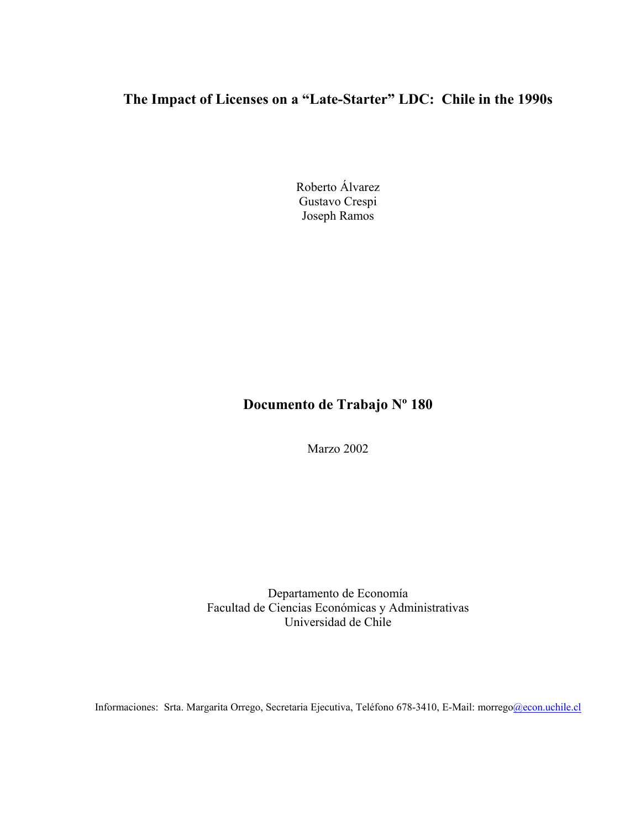# **The Impact of Licenses on a "Late-Starter" LDC: Chile in the 1990s**

Roberto Álvarez Gustavo Crespi Joseph Ramos

# **Documento de Trabajo Nº 180**

Marzo 2002

Departamento de Economía Facultad de Ciencias Económicas y Administrativas Universidad de Chile

Informaciones: Srta. Margarita Orrego, Secretaria Ejecutiva, Teléfono 678-3410, E-Mail: morreg[o@econ.uchile.cl](mailto:@econ.uchile.cl)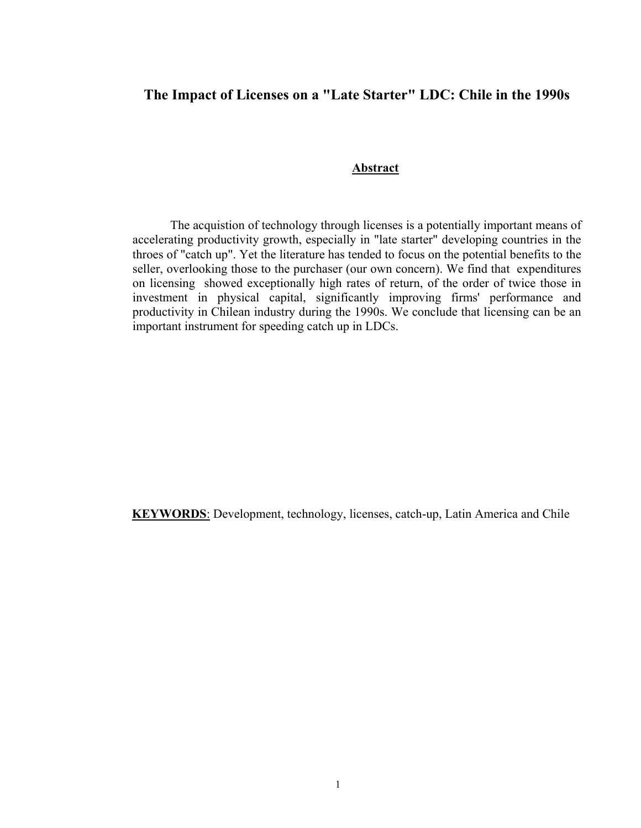## **The Impact of Licenses on a "Late Starter" LDC: Chile in the 1990s**

## **Abstract**

The acquistion of technology through licenses is a potentially important means of accelerating productivity growth, especially in "late starter" developing countries in the throes of "catch up". Yet the literature has tended to focus on the potential benefits to the seller, overlooking those to the purchaser (our own concern). We find that expenditures on licensing showed exceptionally high rates of return, of the order of twice those in investment in physical capital, significantly improving firms' performance and productivity in Chilean industry during the 1990s. We conclude that licensing can be an important instrument for speeding catch up in LDCs.

**KEYWORDS**: Development, technology, licenses, catch-up, Latin America and Chile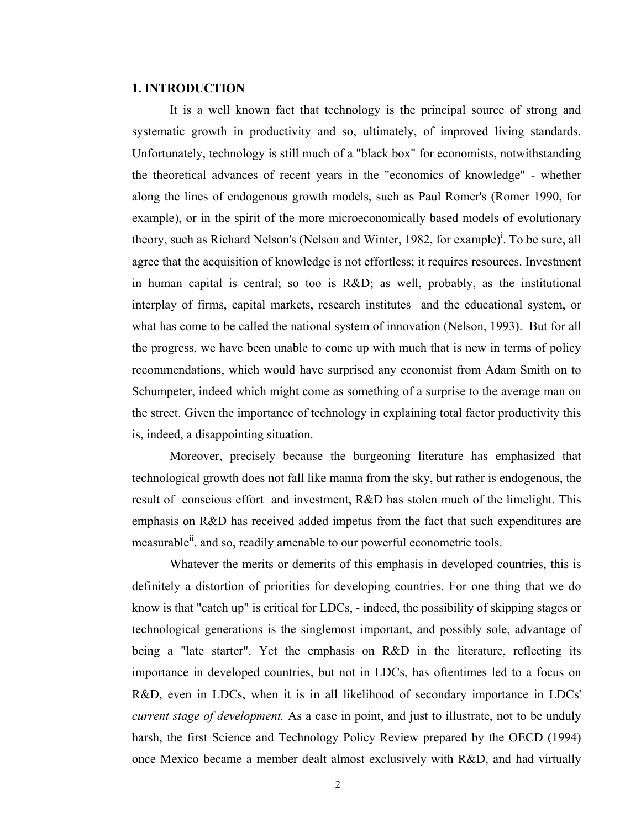## **1. INTRODUCTION**

It is a well known fact that technology is the principal source of strong and systematic growth in productivity and so, ultimately, of improved living standards. Unfortunately, technology is still much of a "black box" for economists, notwithstanding the theoretical advances of recent years in the "economics of knowledge" - whether along the lines of endogenous growth models, such as Paul Romer's (Romer 1990, for example), or in the spirit of the more microeconomically based models of evolutionary theory, such as R[i](#page-35-0)chard Nelson's (Nelson and Winter, 1982, for example)<sup>i</sup>. To be sure, all agree that the acquisition of knowledge is not effortless; it requires resources. Investment in human capital is central; so too is R&D; as well, probably, as the institutional interplay of firms, capital markets, research institutes and the educational system, or what has come to be called the national system of innovation (Nelson, 1993). But for all the progress, we have been unable to come up with much that is new in terms of policy recommendations, which would have surprised any economist from Adam Smith on to Schumpeter, indeed which might come as something of a surprise to the average man on the street. Given the importance of technology in explaining total factor productivity this is, indeed, a disappointing situation.

Moreover, precisely because the burgeoning literature has emphasized that technological growth does not fall like manna from the sky, but rather is endogenous, the result of conscious effort and investment, R&D has stolen much of the limelight. This emphasis on R&D has received added impetus from the fact that such expenditures are measurable<sup>ii</sup>, and so, readily amenable to our powerful econometric tools.

Whatever the merits or demerits of this emphasis in developed countries, this is definitely a distortion of priorities for developing countries. For one thing that we do know is that "catch up" is critical for LDCs, - indeed, the possibility of skipping stages or technological generations is the singlemost important, and possibly sole, advantage of being a "late starter". Yet the emphasis on R&D in the literature, reflecting its importance in developed countries, but not in LDCs, has oftentimes led to a focus on R&D, even in LDCs, when it is in all likelihood of secondary importance in LDCs' *current stage of development.* As a case in point, and just to illustrate, not to be unduly harsh, the first Science and Technology Policy Review prepared by the OECD (1994) once Mexico became a member dealt almost exclusively with R&D, and had virtually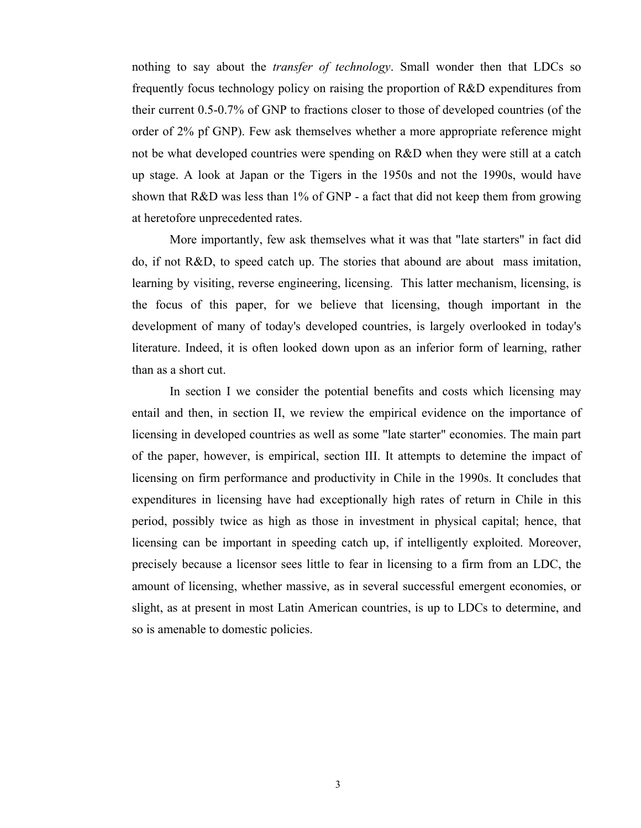nothing to say about the *transfer of technology*. Small wonder then that LDCs so frequently focus technology policy on raising the proportion of R&D expenditures from their current 0.5-0.7% of GNP to fractions closer to those of developed countries (of the order of 2% pf GNP). Few ask themselves whether a more appropriate reference might not be what developed countries were spending on R&D when they were still at a catch up stage. A look at Japan or the Tigers in the 1950s and not the 1990s, would have shown that  $R&D$  was less than 1% of GNP - a fact that did not keep them from growing at heretofore unprecedented rates.

More importantly, few ask themselves what it was that "late starters" in fact did do, if not R&D, to speed catch up. The stories that abound are about mass imitation, learning by visiting, reverse engineering, licensing. This latter mechanism, licensing, is the focus of this paper, for we believe that licensing, though important in the development of many of today's developed countries, is largely overlooked in today's literature. Indeed, it is often looked down upon as an inferior form of learning, rather than as a short cut.

In section I we consider the potential benefits and costs which licensing may entail and then, in section II, we review the empirical evidence on the importance of licensing in developed countries as well as some "late starter" economies. The main part of the paper, however, is empirical, section III. It attempts to detemine the impact of licensing on firm performance and productivity in Chile in the 1990s. It concludes that expenditures in licensing have had exceptionally high rates of return in Chile in this period, possibly twice as high as those in investment in physical capital; hence, that licensing can be important in speeding catch up, if intelligently exploited. Moreover, precisely because a licensor sees little to fear in licensing to a firm from an LDC, the amount of licensing, whether massive, as in several successful emergent economies, or slight, as at present in most Latin American countries, is up to LDCs to determine, and so is amenable to domestic policies.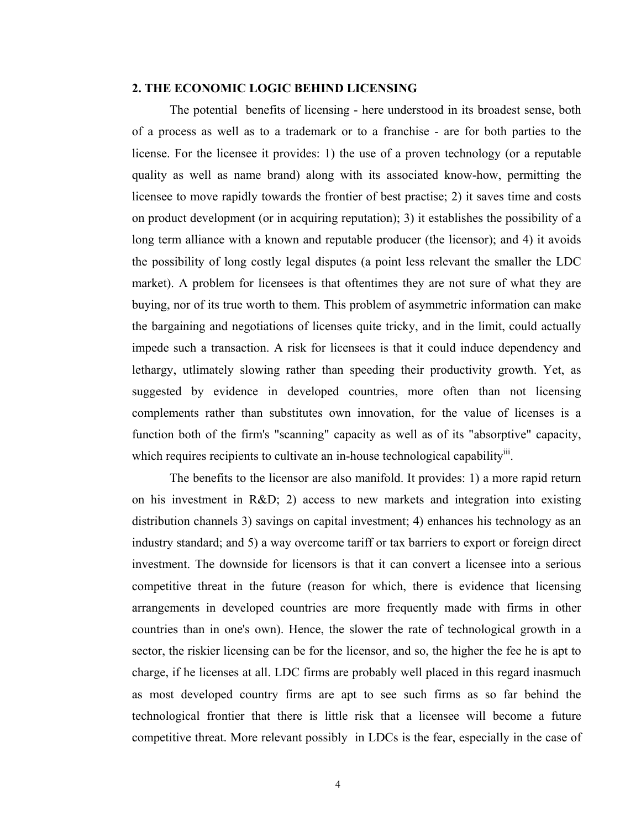#### **2. THE ECONOMIC LOGIC BEHIND LICENSING**

The potential benefits of licensing - here understood in its broadest sense, both of a process as well as to a trademark or to a franchise - are for both parties to the license. For the licensee it provides: 1) the use of a proven technology (or a reputable quality as well as name brand) along with its associated know-how, permitting the licensee to move rapidly towards the frontier of best practise; 2) it saves time and costs on product development (or in acquiring reputation); 3) it establishes the possibility of a long term alliance with a known and reputable producer (the licensor); and 4) it avoids the possibility of long costly legal disputes (a point less relevant the smaller the LDC market). A problem for licensees is that oftentimes they are not sure of what they are buying, nor of its true worth to them. This problem of asymmetric information can make the bargaining and negotiations of licenses quite tricky, and in the limit, could actually impede such a transaction. A risk for licensees is that it could induce dependency and lethargy, utlimately slowing rather than speeding their productivity growth. Yet, as suggested by evidence in developed countries, more often than not licensing complements rather than substitutes own innovation, for the value of licenses is a function both of the firm's "scanning" capacity as well as of its "absorptive" capacity, which requires recipients to cultivate an in-house technological capability<sup>m</sup>.

The benefits to the licensor are also manifold. It provides: 1) a more rapid return on his investment in R&D; 2) access to new markets and integration into existing distribution channels 3) savings on capital investment; 4) enhances his technology as an industry standard; and 5) a way overcome tariff or tax barriers to export or foreign direct investment. The downside for licensors is that it can convert a licensee into a serious competitive threat in the future (reason for which, there is evidence that licensing arrangements in developed countries are more frequently made with firms in other countries than in one's own). Hence, the slower the rate of technological growth in a sector, the riskier licensing can be for the licensor, and so, the higher the fee he is apt to charge, if he licenses at all. LDC firms are probably well placed in this regard inasmuch as most developed country firms are apt to see such firms as so far behind the technological frontier that there is little risk that a licensee will become a future competitive threat. More relevant possibly in LDCs is the fear, especially in the case of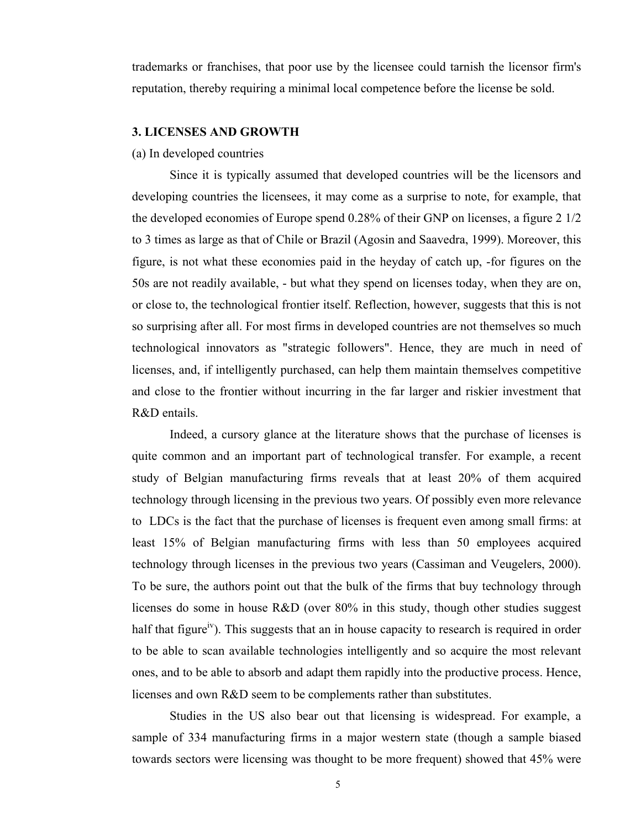trademarks or franchises, that poor use by the licensee could tarnish the licensor firm's reputation, thereby requiring a minimal local competence before the license be sold.

#### **3. LICENSES AND GROWTH**

(a) In developed countries

Since it is typically assumed that developed countries will be the licensors and developing countries the licensees, it may come as a surprise to note, for example, that the developed economies of Europe spend 0.28% of their GNP on licenses, a figure 2 1/2 to 3 times as large as that of Chile or Brazil (Agosin and Saavedra, 1999). Moreover, this figure, is not what these economies paid in the heyday of catch up, -for figures on the 50s are not readily available, - but what they spend on licenses today, when they are on, or close to, the technological frontier itself. Reflection, however, suggests that this is not so surprising after all. For most firms in developed countries are not themselves so much technological innovators as "strategic followers". Hence, they are much in need of licenses, and, if intelligently purchased, can help them maintain themselves competitive and close to the frontier without incurring in the far larger and riskier investment that R&D entails.

Indeed, a cursory glance at the literature shows that the purchase of licenses is quite common and an important part of technological transfer. For example, a recent study of Belgian manufacturing firms reveals that at least 20% of them acquired technology through licensing in the previous two years. Of possibly even more relevance to LDCs is the fact that the purchase of licenses is frequent even among small firms: at least 15% of Belgian manufacturing firms with less than 50 employees acquired technology through licenses in the previous two years (Cassiman and Veugelers, 2000). To be sure, the authors point out that the bulk of the firms that buy technology through licenses do some in house R&D (over 80% in this study, though other studies suggest half that figure<sup>iv</sup>). This suggests that an in house capacity to research is required in order to be able to scan available technologies intelligently and so acquire the most relevant ones, and to be able to absorb and adapt them rapidly into the productive process. Hence, licenses and own R&D seem to be complements rather than substitutes.

Studies in the US also bear out that licensing is widespread. For example, a sample of 334 manufacturing firms in a major western state (though a sample biased towards sectors were licensing was thought to be more frequent) showed that 45% were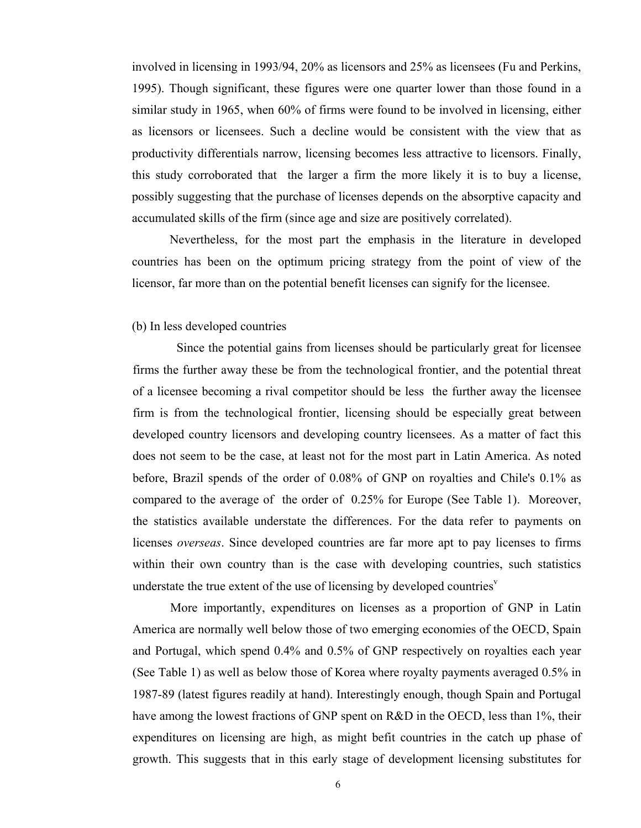involved in licensing in 1993/94, 20% as licensors and 25% as licensees (Fu and Perkins, 1995). Though significant, these figures were one quarter lower than those found in a similar study in 1965, when 60% of firms were found to be involved in licensing, either as licensors or licensees. Such a decline would be consistent with the view that as productivity differentials narrow, licensing becomes less attractive to licensors. Finally, this study corroborated that the larger a firm the more likely it is to buy a license, possibly suggesting that the purchase of licenses depends on the absorptive capacity and accumulated skills of the firm (since age and size are positively correlated).

Nevertheless, for the most part the emphasis in the literature in developed countries has been on the optimum pricing strategy from the point of view of the licensor, far more than on the potential benefit licenses can signify for the licensee.

#### (b) In less developed countries

Since the potential gains from licenses should be particularly great for licensee firms the further away these be from the technological frontier, and the potential threat of a licensee becoming a rival competitor should be less the further away the licensee firm is from the technological frontier, licensing should be especially great between developed country licensors and developing country licensees. As a matter of fact this does not seem to be the case, at least not for the most part in Latin America. As noted before, Brazil spends of the order of 0.08% of GNP on royalties and Chile's 0.1% as compared to the average of the order of 0.25% for Europe (See Table 1). Moreover, the statistics available understate the differences. For the data refer to payments on licenses *overseas*. Since developed countries are far more apt to pay licenses to firms within their own country than is the case with developing countries, such statistics understate the true extent of the use of licensing by developed countries<sup> $v$ </sup>

More importantly, expenditures on licenses as a proportion of GNP in Latin America are normally well below those of two emerging economies of the OECD, Spain and Portugal, which spend 0.4% and 0.5% of GNP respectively on royalties each year (See Table 1) as well as below those of Korea where royalty payments averaged 0.5% in 1987-89 (latest figures readily at hand). Interestingly enough, though Spain and Portugal have among the lowest fractions of GNP spent on R&D in the OECD, less than 1%, their expenditures on licensing are high, as might befit countries in the catch up phase of growth. This suggests that in this early stage of development licensing substitutes for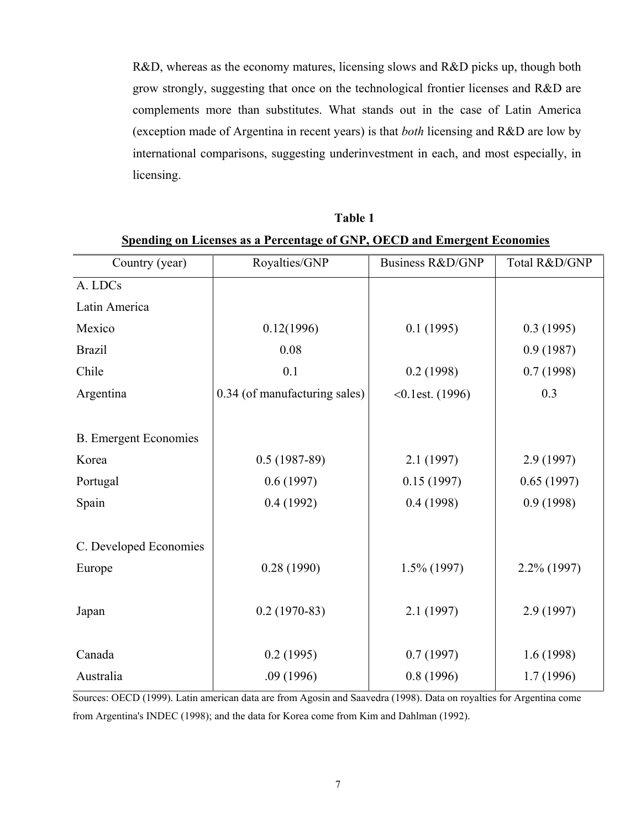R&D, whereas as the economy matures, licensing slows and R&D picks up, though both grow strongly, suggesting that once on the technological frontier licenses and R&D are complements more than substitutes. What stands out in the case of Latin America (exception made of Argentina in recent years) is that *both* licensing and R&D are low by international comparisons, suggesting underinvestment in each, and most especially, in licensing.

| Country (year)               | Royalties/GNP                 | Business R&D/GNP | Total R&D/GNP |
|------------------------------|-------------------------------|------------------|---------------|
| A. LDCs                      |                               |                  |               |
| Latin America                |                               |                  |               |
| Mexico                       | 0.12(1996)                    | 0.1(1995)        | 0.3(1995)     |
| <b>Brazil</b>                | 0.08                          |                  | 0.9(1987)     |
| Chile                        | 0.1                           | 0.2(1998)        | 0.7(1998)     |
| Argentina                    | 0.34 (of manufacturing sales) | < 0.1est. (1996) | 0.3           |
|                              |                               |                  |               |
| <b>B.</b> Emergent Economies |                               |                  |               |
| Korea                        | $0.5(1987-89)$                | 2.1(1997)        | 2.9(1997)     |
| Portugal                     | 0.6(1997)                     | 0.15(1997)       | 0.65(1997)    |
| Spain                        | 0.4(1992)                     | 0.4(1998)        | 0.9(1998)     |
|                              |                               |                  |               |
| C. Developed Economies       |                               |                  |               |
| Europe                       | 0.28(1990)                    | $1.5\%$ (1997)   | 2.2% (1997)   |
|                              |                               |                  |               |
| Japan                        | $0.2(1970-83)$                | 2.1(1997)        | 2.9 (1997)    |
|                              |                               |                  |               |
| Canada                       | 0.2(1995)                     | 0.7(1997)        | 1.6(1998)     |
| Australia                    | .09(1996)                     | 0.8(1996)        | 1.7(1996)     |
|                              |                               |                  |               |

**Table 1 Spending on Licenses as a Percentage of GNP, OECD and Emergent Economies**

Sources: OECD (1999). Latin american data are from Agosin and Saavedra (1998). Data on royalties for Argentina come from Argentina's INDEC (1998); and the data for Korea come from Kim and Dahlman (1992).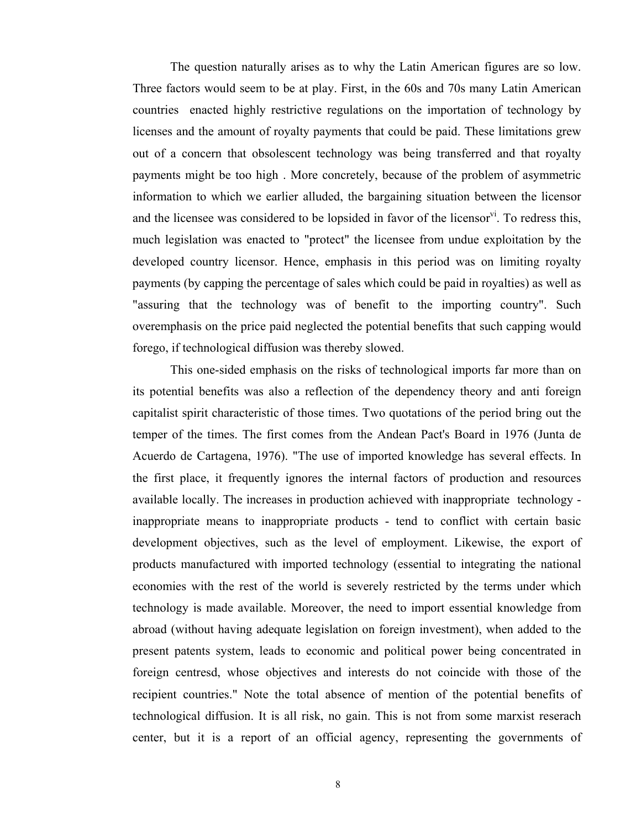The question naturally arises as to why the Latin American figures are so low. Three factors would seem to be at play. First, in the 60s and 70s many Latin American countries enacted highly restrictive regulations on the importation of technology by licenses and the amount of royalty payments that could be paid. These limitations grew out of a concern that obsolescent technology was being transferred and that royalty payments might be too high . More concretely, because of the problem of asymmetric information to which we earlier alluded, the bargaining situation between the licensor and the licensee was considered to be lopsided in favor of the licensor<sup>y</sup>. To redress this, much legislation was enacted to "protect" the licensee from undue exploitation by the developed country licensor. Hence, emphasis in this period was on limiting royalty payments (by capping the percentage of sales which could be paid in royalties) as well as "assuring that the technology was of benefit to the importing country". Such overemphasis on the price paid neglected the potential benefits that such capping would forego, if technological diffusion was thereby slowed.

This one-sided emphasis on the risks of technological imports far more than on its potential benefits was also a reflection of the dependency theory and anti foreign capitalist spirit characteristic of those times. Two quotations of the period bring out the temper of the times. The first comes from the Andean Pact's Board in 1976 (Junta de Acuerdo de Cartagena, 1976). "The use of imported knowledge has several effects. In the first place, it frequently ignores the internal factors of production and resources available locally. The increases in production achieved with inappropriate technology inappropriate means to inappropriate products - tend to conflict with certain basic development objectives, such as the level of employment. Likewise, the export of products manufactured with imported technology (essential to integrating the national economies with the rest of the world is severely restricted by the terms under which technology is made available. Moreover, the need to import essential knowledge from abroad (without having adequate legislation on foreign investment), when added to the present patents system, leads to economic and political power being concentrated in foreign centresd, whose objectives and interests do not coincide with those of the recipient countries." Note the total absence of mention of the potential benefits of technological diffusion. It is all risk, no gain. This is not from some marxist reserach center, but it is a report of an official agency, representing the governments of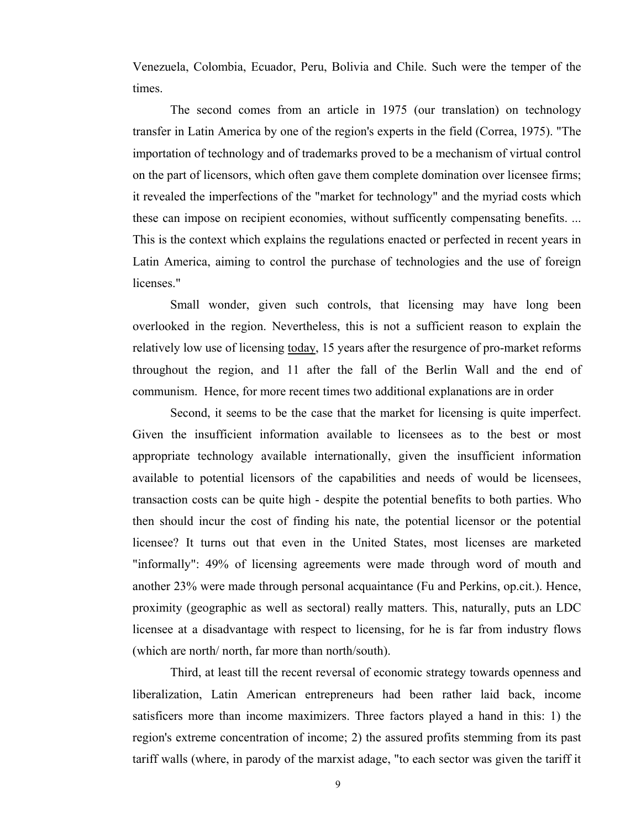Venezuela, Colombia, Ecuador, Peru, Bolivia and Chile. Such were the temper of the times.

The second comes from an article in 1975 (our translation) on technology transfer in Latin America by one of the region's experts in the field (Correa, 1975). "The importation of technology and of trademarks proved to be a mechanism of virtual control on the part of licensors, which often gave them complete domination over licensee firms; it revealed the imperfections of the "market for technology" and the myriad costs which these can impose on recipient economies, without sufficently compensating benefits. ... This is the context which explains the regulations enacted or perfected in recent years in Latin America, aiming to control the purchase of technologies and the use of foreign licenses."

Small wonder, given such controls, that licensing may have long been overlooked in the region. Nevertheless, this is not a sufficient reason to explain the relatively low use of licensing today, 15 years after the resurgence of pro-market reforms throughout the region, and 11 after the fall of the Berlin Wall and the end of communism. Hence, for more recent times two additional explanations are in order

Second, it seems to be the case that the market for licensing is quite imperfect. Given the insufficient information available to licensees as to the best or most appropriate technology available internationally, given the insufficient information available to potential licensors of the capabilities and needs of would be licensees, transaction costs can be quite high - despite the potential benefits to both parties. Who then should incur the cost of finding his nate, the potential licensor or the potential licensee? It turns out that even in the United States, most licenses are marketed "informally": 49% of licensing agreements were made through word of mouth and another 23% were made through personal acquaintance (Fu and Perkins, op.cit.). Hence, proximity (geographic as well as sectoral) really matters. This, naturally, puts an LDC licensee at a disadvantage with respect to licensing, for he is far from industry flows (which are north/ north, far more than north/south).

Third, at least till the recent reversal of economic strategy towards openness and liberalization, Latin American entrepreneurs had been rather laid back, income satisficers more than income maximizers. Three factors played a hand in this: 1) the region's extreme concentration of income; 2) the assured profits stemming from its past tariff walls (where, in parody of the marxist adage, "to each sector was given the tariff it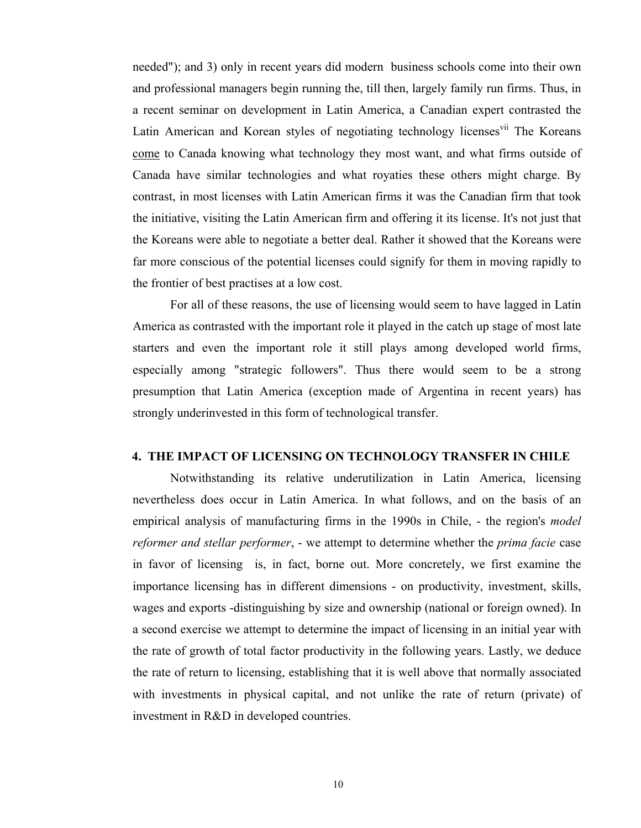needed"); and 3) only in recent years did modern business schools come into their own and professional managers begin running the, till then, largely family run firms. Thus, in a recent seminar on development in Latin America, a Canadian expert contrasted the Latin American and Korean styles of negotiating technology licenses<sup>vii</sup> The Koreans come to Canada knowing what technology they most want, and what firms outside of Canada have similar technologies and what royaties these others might charge. By contrast, in most licenses with Latin American firms it was the Canadian firm that took the initiative, visiting the Latin American firm and offering it its license. It's not just that the Koreans were able to negotiate a better deal. Rather it showed that the Koreans were far more conscious of the potential licenses could signify for them in moving rapidly to the frontier of best practises at a low cost.

For all of these reasons, the use of licensing would seem to have lagged in Latin America as contrasted with the important role it played in the catch up stage of most late starters and even the important role it still plays among developed world firms, especially among "strategic followers". Thus there would seem to be a strong presumption that Latin America (exception made of Argentina in recent years) has strongly underinvested in this form of technological transfer.

## **4. THE IMPACT OF LICENSING ON TECHNOLOGY TRANSFER IN CHILE**

Notwithstanding its relative underutilization in Latin America, licensing nevertheless does occur in Latin America. In what follows, and on the basis of an empirical analysis of manufacturing firms in the 1990s in Chile, - the region's *model reformer and stellar performer*, - we attempt to determine whether the *prima facie* case in favor of licensing is, in fact, borne out. More concretely, we first examine the importance licensing has in different dimensions - on productivity, investment, skills, wages and exports -distinguishing by size and ownership (national or foreign owned). In a second exercise we attempt to determine the impact of licensing in an initial year with the rate of growth of total factor productivity in the following years. Lastly, we deduce the rate of return to licensing, establishing that it is well above that normally associated with investments in physical capital, and not unlike the rate of return (private) of investment in R&D in developed countries.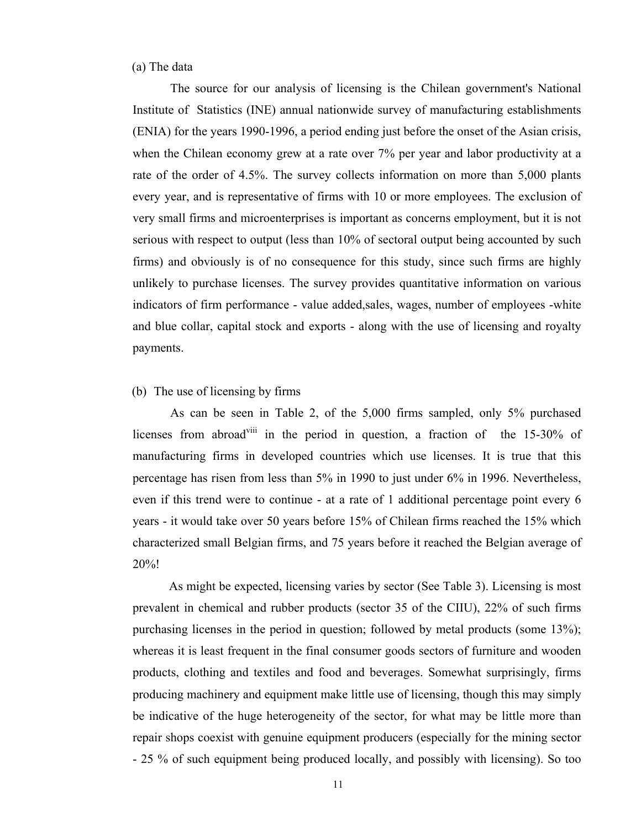(a) The data

The source for our analysis of licensing is the Chilean government's National Institute of Statistics (INE) annual nationwide survey of manufacturing establishments (ENIA) for the years 1990-1996, a period ending just before the onset of the Asian crisis, when the Chilean economy grew at a rate over 7% per year and labor productivity at a rate of the order of 4.5%. The survey collects information on more than 5,000 plants every year, and is representative of firms with 10 or more employees. The exclusion of very small firms and microenterprises is important as concerns employment, but it is not serious with respect to output (less than 10% of sectoral output being accounted by such firms) and obviously is of no consequence for this study, since such firms are highly unlikely to purchase licenses. The survey provides quantitative information on various indicators of firm performance - value added,sales, wages, number of employees -white and blue collar, capital stock and exports - along with the use of licensing and royalty payments.

## (b) The use of licensing by firms

As can be seen in Table 2, of the 5,000 firms sampled, only 5% purchased licenses from abroa[dviii](#page-35-7) in the period in question, a fraction of the 15-30% of manufacturing firms in developed countries which use licenses. It is true that this percentage has risen from less than 5% in 1990 to just under 6% in 1996. Nevertheless, even if this trend were to continue - at a rate of 1 additional percentage point every 6 years - it would take over 50 years before 15% of Chilean firms reached the 15% which characterized small Belgian firms, and 75 years before it reached the Belgian average of 20%!

As might be expected, licensing varies by sector (See Table 3). Licensing is most prevalent in chemical and rubber products (sector 35 of the CIIU), 22% of such firms purchasing licenses in the period in question; followed by metal products (some 13%); whereas it is least frequent in the final consumer goods sectors of furniture and wooden products, clothing and textiles and food and beverages. Somewhat surprisingly, firms producing machinery and equipment make little use of licensing, though this may simply be indicative of the huge heterogeneity of the sector, for what may be little more than repair shops coexist with genuine equipment producers (especially for the mining sector - 25 % of such equipment being produced locally, and possibly with licensing). So too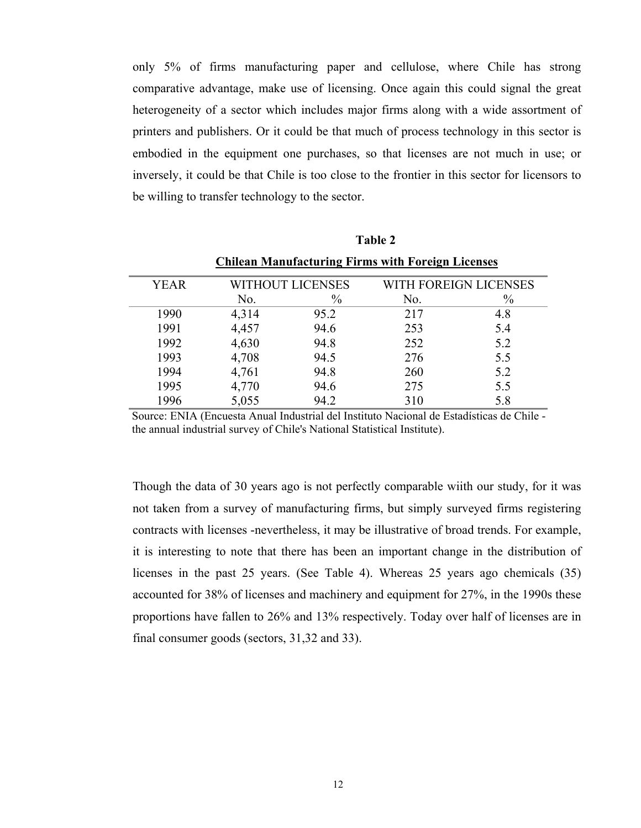only 5% of firms manufacturing paper and cellulose, where Chile has strong comparative advantage, make use of licensing. Once again this could signal the great heterogeneity of a sector which includes major firms along with a wide assortment of printers and publishers. Or it could be that much of process technology in this sector is embodied in the equipment one purchases, so that licenses are not much in use; or inversely, it could be that Chile is too close to the frontier in this sector for licensors to be willing to transfer technology to the sector.

#### **Table 2**

| <b>YEAR</b> |       | WITHOUT LICENSES |     | <b>WITH FOREIGN LICENSES</b> |
|-------------|-------|------------------|-----|------------------------------|
|             | No.   | $\frac{0}{0}$    | No. | $\%$                         |
| 1990        | 4,314 | 95.2             | 217 | 4.8                          |
| 1991        | 4,457 | 94.6             | 253 | 5.4                          |
| 1992        | 4,630 | 94.8             | 252 | 5.2                          |
| 1993        | 4,708 | 94.5             | 276 | 5.5                          |
| 1994        | 4,761 | 94.8             | 260 | 5.2                          |
| 1995        | 4,770 | 94.6             | 275 | 5.5                          |
| 1996        | 5,055 | 94.2             | 310 | 5.8                          |

**Chilean Manufacturing Firms with Foreign Licenses**

Source: ENIA (Encuesta Anual Industrial del Instituto Nacional de Estadísticas de Chile the annual industrial survey of Chile's National Statistical Institute).

Though the data of 30 years ago is not perfectly comparable wiith our study, for it was not taken from a survey of manufacturing firms, but simply surveyed firms registering contracts with licenses -nevertheless, it may be illustrative of broad trends. For example, it is interesting to note that there has been an important change in the distribution of licenses in the past 25 years. (See Table 4). Whereas 25 years ago chemicals (35) accounted for 38% of licenses and machinery and equipment for 27%, in the 1990s these proportions have fallen to 26% and 13% respectively. Today over half of licenses are in final consumer goods (sectors, 31,32 and 33).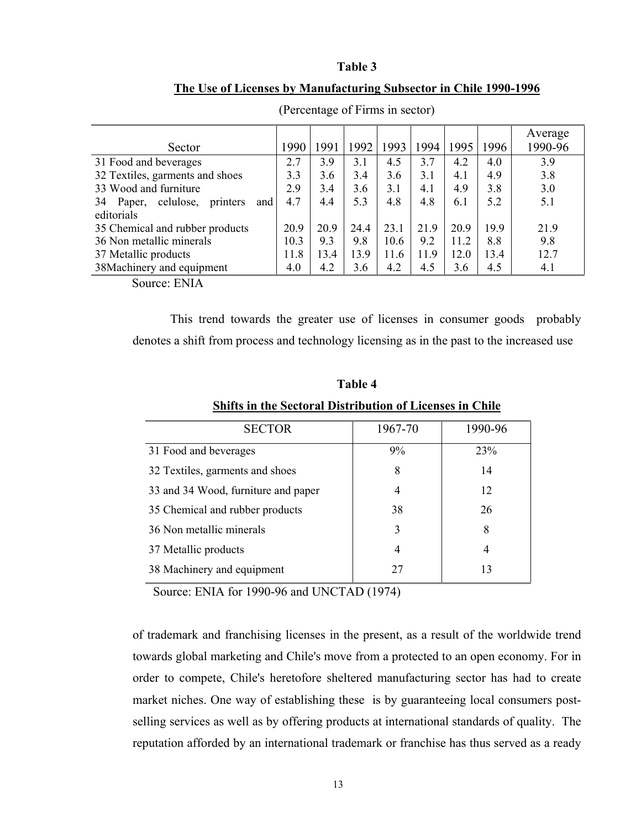#### **Table 3**

| Sector                                       | 1990 | 1991 | 1992 | 1993 | 1994 | 1995 | 1996 | Average<br>1990-96 |
|----------------------------------------------|------|------|------|------|------|------|------|--------------------|
|                                              |      |      |      |      |      |      |      |                    |
| 31 Food and beverages                        | 2.7  | 3.9  | 3.1  | 4.5  | 3.7  | 4.2  | 4.0  | 3.9                |
| 32 Textiles, garments and shoes              | 3.3  | 3.6  | 3.4  | 3.6  | 3.1  | 4.1  | 4.9  | 3.8                |
| 33 Wood and furniture                        | 2.9  | 3.4  | 3.6  | 3.1  | 4.1  | 4.9  | 3.8  | 3.0                |
| celulose,<br>34<br>Paper,<br>printers<br>and | 4.7  | 4.4  | 5.3  | 4.8  | 4.8  | 6.1  | 5.2  | 5.1                |
| editorials                                   |      |      |      |      |      |      |      |                    |
| 35 Chemical and rubber products              |      | 20.9 | 24.4 | 23.1 | 21.9 | 20.9 | 19.9 | 21.9               |
| 36 Non metallic minerals                     |      | 9.3  | 9.8  | 10.6 | 9.2  | 11.2 | 8.8  | 9.8                |
| 37 Metallic products                         |      | 13.4 | 13.9 | 11.6 | 11.9 | 12.0 | 13.4 | 12.7               |
| 38Machinery and equipment                    | 4.0  | 4.2  | 3.6  | 4.2  | 4.5  | 3.6  | 4.5  | 4.1                |
|                                              |      |      |      |      |      |      |      |                    |

#### **The Use of Licenses by Manufacturing Subsector in Chile 1990-1996**

(Percentage of Firms in sector)

Source: ENIA

This trend towards the greater use of licenses in consumer goods probably denotes a shift from process and technology licensing as in the past to the increased use

| ошця ш ию эсскогат ріянтяаноп от шеспяся пі спію |         |         |  |  |  |  |
|--------------------------------------------------|---------|---------|--|--|--|--|
| <b>SECTOR</b>                                    | 1967-70 | 1990-96 |  |  |  |  |
| 31 Food and beverages                            | 9%      | 23%     |  |  |  |  |
| 32 Textiles, garments and shoes                  | 8       | 14      |  |  |  |  |
| 33 and 34 Wood, furniture and paper              | 4       | 12      |  |  |  |  |
| 35 Chemical and rubber products                  | 38      | 26      |  |  |  |  |
| 36 Non metallic minerals                         | 3       | 8       |  |  |  |  |
| 37 Metallic products                             | 4       | 4       |  |  |  |  |
| 38 Machinery and equipment                       | 27      | 13      |  |  |  |  |

**Table 4 Shifts in the Sectoral Distribution of Licenses in Chile**

Source: ENIA for 1990-96 and UNCTAD (1974)

of trademark and franchising licenses in the present, as a result of the worldwide trend towards global marketing and Chile's move from a protected to an open economy. For in order to compete, Chile's heretofore sheltered manufacturing sector has had to create market niches. One way of establishing these is by guaranteeing local consumers postselling services as well as by offering products at international standards of quality. The reputation afforded by an international trademark or franchise has thus served as a ready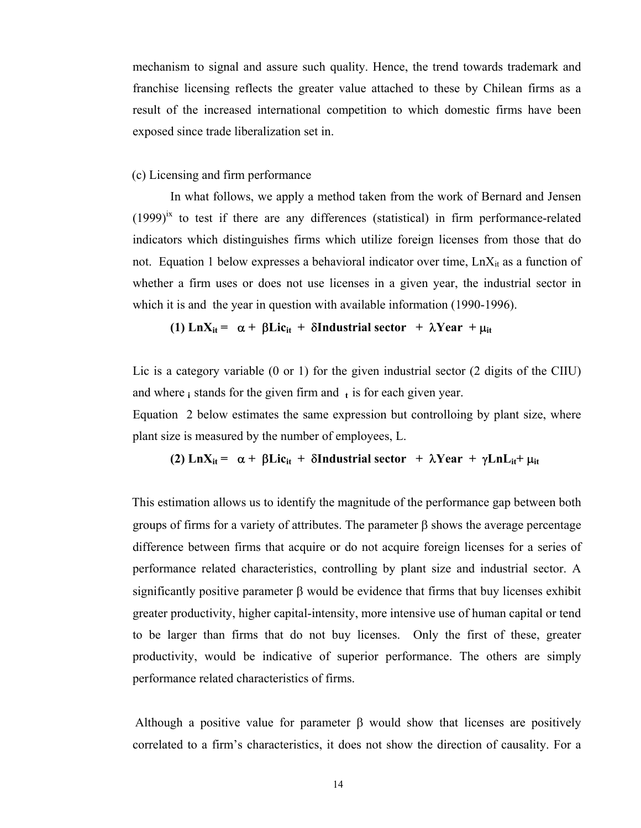mechanism to signal and assure such quality. Hence, the trend towards trademark and franchise licensing reflects the greater value attached to these by Chilean firms as a result of the increased international competition to which domestic firms have been exposed since trade liberalization set in.

## (c) Licensing and firm performance

In what follows, we apply a method taken from the work of Bernard and Jensen  $(1999)^{ix}$  to test if there are any differences (statistical) in firm performance-related indicators which distinguishes firms which utilize foreign licenses from those that do not. Equation 1 below expresses a behavioral indicator over time,  $LnX<sub>it</sub>$  as a function of whether a firm uses or does not use licenses in a given year, the industrial sector in which it is and the year in question with available information (1990-1996).

(1) 
$$
LnX_{it} = \alpha + \beta Lie_{it} + \delta Industrial sector + \lambda Year + \mu_{it}
$$

Lic is a category variable (0 or 1) for the given industrial sector (2 digits of the CIIU) and where  $\mathbf{i}$  stands for the given firm and  $\mathbf{t}$  is for each given year.

Equation 2 below estimates the same expression but controlloing by plant size, where plant size is measured by the number of employees, L.

(2) 
$$
Ln X_{it} = \alpha + \beta Lie_{it} + \delta Industrial sector + \lambda Year + \gamma Ln L_{it} + \mu_{it}
$$

This estimation allows us to identify the magnitude of the performance gap between both groups of firms for a variety of attributes. The parameter β shows the average percentage difference between firms that acquire or do not acquire foreign licenses for a series of performance related characteristics, controlling by plant size and industrial sector. A significantly positive parameter  $\beta$  would be evidence that firms that buy licenses exhibit greater productivity, higher capital-intensity, more intensive use of human capital or tend to be larger than firms that do not buy licenses. Only the first of these, greater productivity, would be indicative of superior performance. The others are simply performance related characteristics of firms.

Although a positive value for parameter  $\beta$  would show that licenses are positively correlated to a firm's characteristics, it does not show the direction of causality. For a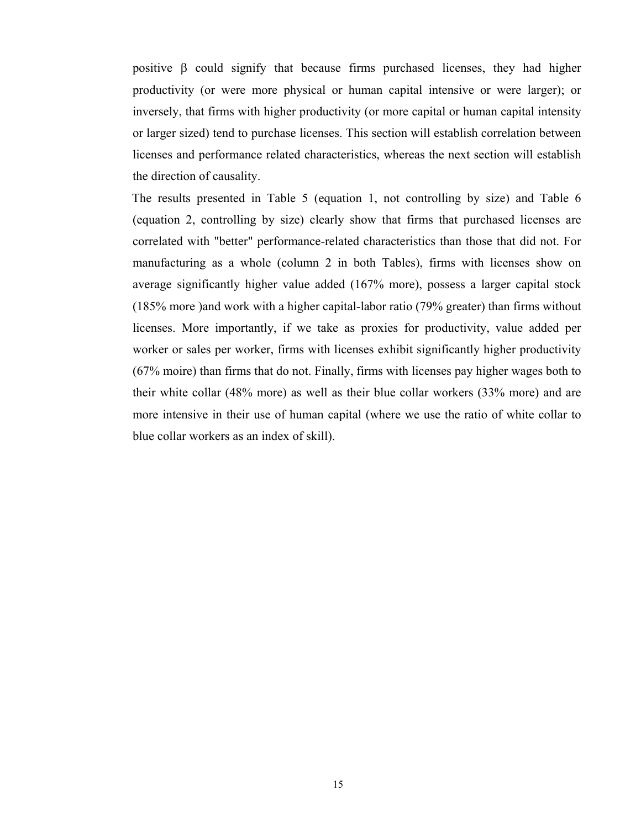positive  $\beta$  could signify that because firms purchased licenses, they had higher productivity (or were more physical or human capital intensive or were larger); or inversely, that firms with higher productivity (or more capital or human capital intensity or larger sized) tend to purchase licenses. This section will establish correlation between licenses and performance related characteristics, whereas the next section will establish the direction of causality.

The results presented in Table 5 (equation 1, not controlling by size) and Table 6 (equation 2, controlling by size) clearly show that firms that purchased licenses are correlated with "better" performance-related characteristics than those that did not. For manufacturing as a whole (column 2 in both Tables), firms with licenses show on average significantly higher value added (167% more), possess a larger capital stock (185% more )and work with a higher capital-labor ratio (79% greater) than firms without licenses. More importantly, if we take as proxies for productivity, value added per worker or sales per worker, firms with licenses exhibit significantly higher productivity (67% moire) than firms that do not. Finally, firms with licenses pay higher wages both to their white collar (48% more) as well as their blue collar workers (33% more) and are more intensive in their use of human capital (where we use the ratio of white collar to blue collar workers as an index of skill).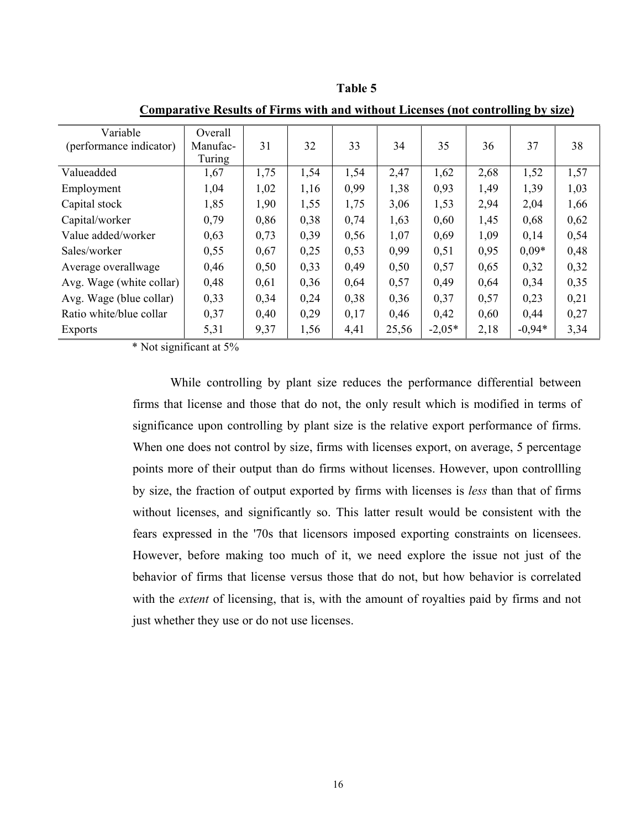#### **Table 5**

| Variable<br>(performance indicator) | Overall<br>Manufac- | 31   | 32   | 33   | 34    | 35       | 36   | 37       | 38   |
|-------------------------------------|---------------------|------|------|------|-------|----------|------|----------|------|
|                                     | Turing              |      |      |      |       |          |      |          |      |
| Valueadded                          | 1,67                | 1,75 | 1,54 | 1,54 | 2,47  | 1,62     | 2,68 | 1,52     | 1,57 |
| Employment                          | 1,04                | 1,02 | 1,16 | 0,99 | 1,38  | 0,93     | 1,49 | 1,39     | 1,03 |
| Capital stock                       | 1,85                | 1,90 | 1,55 | 1,75 | 3,06  | 1,53     | 2,94 | 2,04     | 1,66 |
| Capital/worker                      | 0,79                | 0,86 | 0,38 | 0,74 | 1,63  | 0,60     | 1,45 | 0,68     | 0,62 |
| Value added/worker                  | 0,63                | 0,73 | 0,39 | 0,56 | 1,07  | 0,69     | 1,09 | 0,14     | 0,54 |
| Sales/worker                        | 0,55                | 0,67 | 0,25 | 0,53 | 0,99  | 0,51     | 0,95 | $0.09*$  | 0,48 |
| Average overallwage                 | 0,46                | 0,50 | 0,33 | 0,49 | 0,50  | 0,57     | 0,65 | 0,32     | 0,32 |
| Avg. Wage (white collar)            | 0,48                | 0,61 | 0,36 | 0,64 | 0,57  | 0,49     | 0,64 | 0,34     | 0,35 |
| Avg. Wage (blue collar)             | 0,33                | 0,34 | 0,24 | 0,38 | 0,36  | 0,37     | 0,57 | 0,23     | 0,21 |
| Ratio white/blue collar             | 0,37                | 0,40 | 0,29 | 0,17 | 0,46  | 0,42     | 0,60 | 0,44     | 0,27 |
| <b>Exports</b>                      | 5,31                | 9,37 | 1,56 | 4,41 | 25,56 | $-2,05*$ | 2,18 | $-0,94*$ | 3,34 |

**Comparative Results of Firms with and without Licenses (not controlling by size)**

\* Not significant at 5%

While controlling by plant size reduces the performance differential between firms that license and those that do not, the only result which is modified in terms of significance upon controlling by plant size is the relative export performance of firms. When one does not control by size, firms with licenses export, on average, 5 percentage points more of their output than do firms without licenses. However, upon controllling by size, the fraction of output exported by firms with licenses is *less* than that of firms without licenses, and significantly so. This latter result would be consistent with the fears expressed in the '70s that licensors imposed exporting constraints on licensees. However, before making too much of it, we need explore the issue not just of the behavior of firms that license versus those that do not, but how behavior is correlated with the *extent* of licensing, that is, with the amount of royalties paid by firms and not just whether they use or do not use licenses.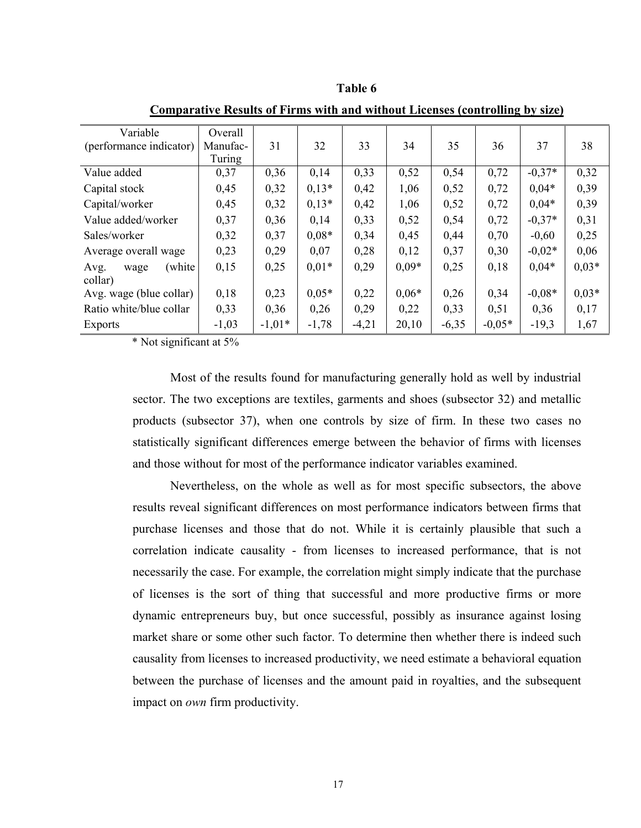#### **Table 6**

| Variable                | Overall  |          |         |         |         |         |          |          |         |
|-------------------------|----------|----------|---------|---------|---------|---------|----------|----------|---------|
| (performance indicator) | Manufac- | 31       | 32      | 33      | 34      | 35      | 36       | 37       | 38      |
|                         | Turing   |          |         |         |         |         |          |          |         |
| Value added             | 0,37     | 0,36     | 0,14    | 0,33    | 0,52    | 0,54    | 0,72     | $-0.37*$ | 0,32    |
| Capital stock           | 0,45     | 0,32     | $0,13*$ | 0,42    | 1,06    | 0,52    | 0,72     | $0,04*$  | 0,39    |
| Capital/worker          | 0,45     | 0,32     | $0,13*$ | 0,42    | 1,06    | 0,52    | 0,72     | $0,04*$  | 0,39    |
| Value added/worker      | 0,37     | 0,36     | 0,14    | 0,33    | 0,52    | 0,54    | 0,72     | $-0.37*$ | 0,31    |
| Sales/worker            | 0,32     | 0,37     | $0.08*$ | 0,34    | 0,45    | 0,44    | 0,70     | $-0,60$  | 0,25    |
| Average overall wage    | 0,23     | 0,29     | 0,07    | 0,28    | 0,12    | 0,37    | 0,30     | $-0.02*$ | 0,06    |
| (white)<br>Avg.<br>wage | 0,15     | 0,25     | $0.01*$ | 0,29    | $0.09*$ | 0,25    | 0,18     | $0.04*$  | $0.03*$ |
| collar)                 |          |          |         |         |         |         |          |          |         |
| Avg. wage (blue collar) | 0,18     | 0,23     | $0.05*$ | 0,22    | $0.06*$ | 0,26    | 0,34     | $-0.08*$ | $0.03*$ |
| Ratio white/blue collar | 0,33     | 0,36     | 0,26    | 0,29    | 0,22    | 0,33    | 0,51     | 0,36     | 0,17    |
| <b>Exports</b>          | $-1,03$  | $-1,01*$ | $-1,78$ | $-4,21$ | 20,10   | $-6,35$ | $-0.05*$ | $-19,3$  | 1,67    |

**Comparative Results of Firms with and without Licenses (controlling by size)**

\* Not significant at 5%

Most of the results found for manufacturing generally hold as well by industrial sector. The two exceptions are textiles, garments and shoes (subsector 32) and metallic products (subsector 37), when one controls by size of firm. In these two cases no statistically significant differences emerge between the behavior of firms with licenses and those without for most of the performance indicator variables examined.

Nevertheless, on the whole as well as for most specific subsectors, the above results reveal significant differences on most performance indicators between firms that purchase licenses and those that do not. While it is certainly plausible that such a correlation indicate causality - from licenses to increased performance, that is not necessarily the case. For example, the correlation might simply indicate that the purchase of licenses is the sort of thing that successful and more productive firms or more dynamic entrepreneurs buy, but once successful, possibly as insurance against losing market share or some other such factor. To determine then whether there is indeed such causality from licenses to increased productivity, we need estimate a behavioral equation between the purchase of licenses and the amount paid in royalties, and the subsequent impact on *own* firm productivity.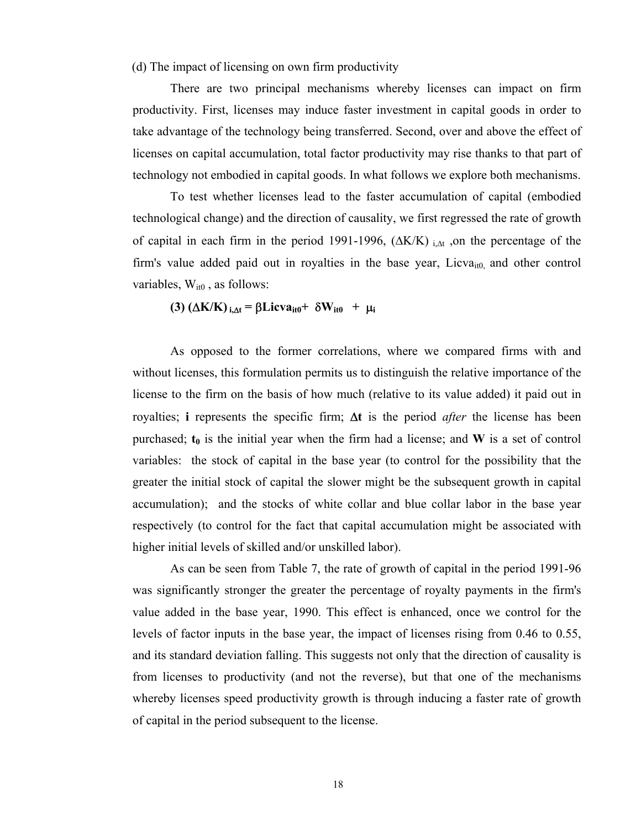(d) The impact of licensing on own firm productivity

There are two principal mechanisms whereby licenses can impact on firm productivity. First, licenses may induce faster investment in capital goods in order to take advantage of the technology being transferred. Second, over and above the effect of licenses on capital accumulation, total factor productivity may rise thanks to that part of technology not embodied in capital goods. In what follows we explore both mechanisms.

To test whether licenses lead to the faster accumulation of capital (embodied technological change) and the direction of causality, we first regressed the rate of growth of capital in each firm in the period 1991-1996,  $(\Delta K/K)$  i, $\Delta t$ , on the percentage of the firm's value added paid out in royalties in the base year, Licva<sub>it0</sub> and other control variables,  $W_{it0}$ , as follows:

## **(3) (**∆**K/K) i,**∆**t =** β**Licvait0+** δ**Wit0 +** µ**<sup>i</sup>**

As opposed to the former correlations, where we compared firms with and without licenses, this formulation permits us to distinguish the relative importance of the license to the firm on the basis of how much (relative to its value added) it paid out in royalties; **i** represents the specific firm; ∆**t** is the period *after* the license has been purchased;  $t_0$  is the initial year when the firm had a license; and **W** is a set of control variables: the stock of capital in the base year (to control for the possibility that the greater the initial stock of capital the slower might be the subsequent growth in capital accumulation); and the stocks of white collar and blue collar labor in the base year respectively (to control for the fact that capital accumulation might be associated with higher initial levels of skilled and/or unskilled labor).

As can be seen from Table 7, the rate of growth of capital in the period 1991-96 was significantly stronger the greater the percentage of royalty payments in the firm's value added in the base year, 1990. This effect is enhanced, once we control for the levels of factor inputs in the base year, the impact of licenses rising from 0.46 to 0.55, and its standard deviation falling. This suggests not only that the direction of causality is from licenses to productivity (and not the reverse), but that one of the mechanisms whereby licenses speed productivity growth is through inducing a faster rate of growth of capital in the period subsequent to the license.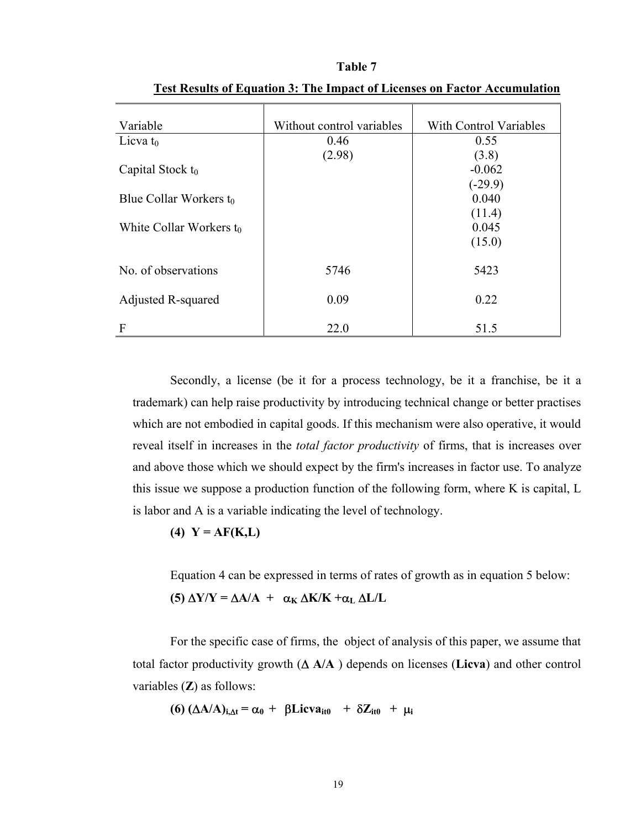| Variable                   | Without control variables | <b>With Control Variables</b> |
|----------------------------|---------------------------|-------------------------------|
| Licva $t_0$                | 0.46                      | 0.55                          |
|                            | (2.98)                    | (3.8)                         |
| Capital Stock $t_0$        |                           | $-0.062$                      |
|                            |                           | $(-29.9)$                     |
| Blue Collar Workers $t_0$  |                           | 0.040                         |
|                            |                           | (11.4)                        |
| White Collar Workers $t_0$ |                           | 0.045                         |
|                            |                           | (15.0)                        |
| No. of observations        | 5746                      | 5423                          |
| Adjusted R-squared         | 0.09                      | 0.22                          |
| F                          | 22.0                      | 51.5                          |

**Table 7 Test Results of Equation 3: The Impact of Licenses on Factor Accumulation**

Secondly, a license (be it for a process technology, be it a franchise, be it a trademark) can help raise productivity by introducing technical change or better practises which are not embodied in capital goods. If this mechanism were also operative, it would reveal itself in increases in the *total factor productivity* of firms, that is increases over and above those which we should expect by the firm's increases in factor use. To analyze this issue we suppose a production function of the following form, where K is capital, L is labor and A is a variable indicating the level of technology.

**(4) Y = AF(K,L)** 

Equation 4 can be expressed in terms of rates of growth as in equation 5 below:

$$
(5) \Delta Y/Y = \Delta A/A + \alpha_K \Delta K/K + \alpha_L \Delta L/L
$$

For the specific case of firms, the object of analysis of this paper, we assume that total factor productivity growth (∆ **A/A** ) depends on licenses (**Licva**) and other control variables (**Z**) as follows:

$$
(6) (\Delta A/A)_{i,\Delta t} = \alpha_0 + \beta Licva_{it0} + \delta Z_{it0} + \mu_i
$$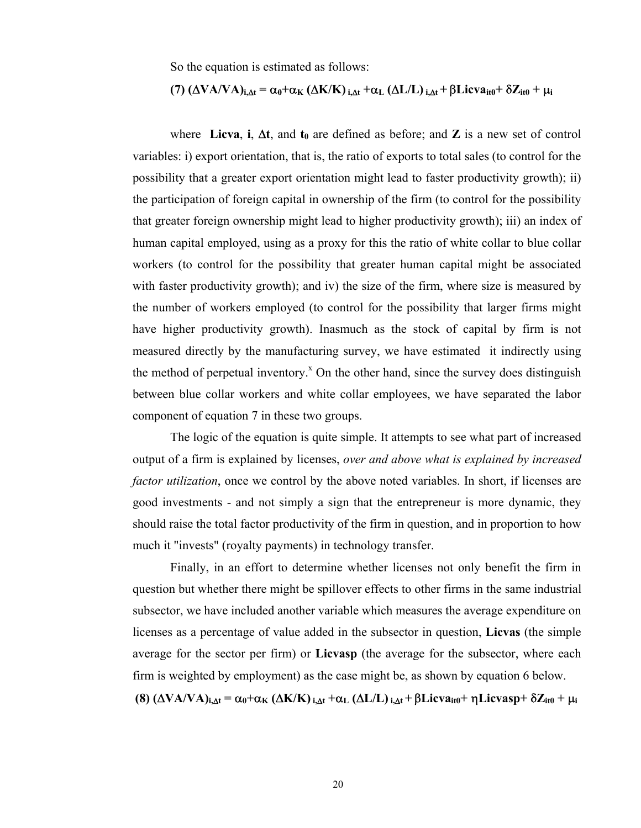So the equation is estimated as follows:

(7) 
$$
(\Delta V A / V A)_{i, \Delta t} = \alpha_0 + \alpha_K (\Delta K / K)_{i, \Delta t} + \alpha_L (\Delta L / L)_{i, \Delta t} + \beta L i c v a_{it0} + \delta Z_{it0} + \mu_i
$$

where **Licva**, **i**,  $\Delta t$ , and  $t_0$  are defined as before; and **Z** is a new set of control variables: i) export orientation, that is, the ratio of exports to total sales (to control for the possibility that a greater export orientation might lead to faster productivity growth); ii) the participation of foreign capital in ownership of the firm (to control for the possibility that greater foreign ownership might lead to higher productivity growth); iii) an index of human capital employed, using as a proxy for this the ratio of white collar to blue collar workers (to control for the possibility that greater human capital might be associated with faster productivity growth); and iv) the size of the firm, where size is measured by the number of workers employed (to control for the possibility that larger firms might have higher productivity growth). Inasmuch as the stock of capital by firm is not measured directly by the manufacturing survey, we have estimated it indirectly using the method of perpetual inventory.<sup>[x](#page-35-8)</sup> On the other hand, since the survey does distinguish between blue collar workers and white collar employees, we have separated the labor component of equation 7 in these two groups.

The logic of the equation is quite simple. It attempts to see what part of increased output of a firm is explained by licenses, *over and above what is explained by increased factor utilization*, once we control by the above noted variables. In short, if licenses are good investments - and not simply a sign that the entrepreneur is more dynamic, they should raise the total factor productivity of the firm in question, and in proportion to how much it "invests" (royalty payments) in technology transfer.

Finally, in an effort to determine whether licenses not only benefit the firm in question but whether there might be spillover effects to other firms in the same industrial subsector, we have included another variable which measures the average expenditure on licenses as a percentage of value added in the subsector in question, **Licvas** (the simple average for the sector per firm) or **Licvasp** (the average for the subsector, where each firm is weighted by employment) as the case might be, as shown by equation 6 below.

**(8)**  $(\Delta \text{V} \text{A} / \text{V} \text{A})_{i, \Delta t} = \alpha_0 + \alpha_K (\Delta \text{K} / \text{K})_{i, \Delta t} + \alpha_L (\Delta \text{L} / \text{L})_{i, \Delta t} + \beta \text{Licva}_{it0} + \eta \text{Licvasp} + \delta \text{Z}_{it0} + \mu_i$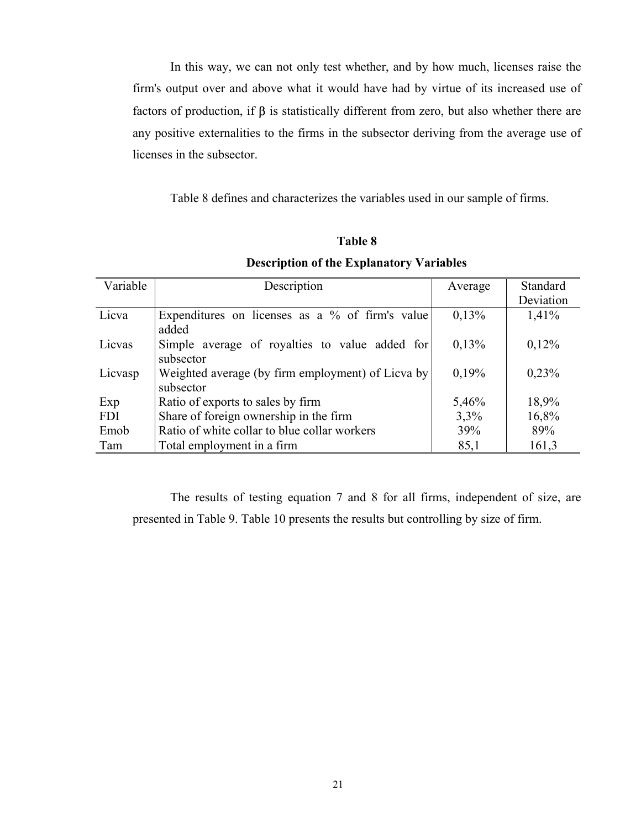In this way, we can not only test whether, and by how much, licenses raise the firm's output over and above what it would have had by virtue of its increased use of factors of production, if  $\beta$  is statistically different from zero, but also whether there are any positive externalities to the firms in the subsector deriving from the average use of licenses in the subsector.

Table 8 defines and characterizes the variables used in our sample of firms.

| Variable   | Description                                                    | Average | Standard<br>Deviation |
|------------|----------------------------------------------------------------|---------|-----------------------|
| Licva      | Expenditures on licenses as a % of firm's value<br>added       | 0,13%   | 1,41%                 |
| Licvas     | Simple average of royalties to value added for<br>subsector    | 0,13%   | 0,12%                 |
| Licvasp    | Weighted average (by firm employment) of Licva by<br>subsector | 0,19%   | 0,23%                 |
| Exp        | Ratio of exports to sales by firm                              | 5,46%   | 18,9%                 |
| <b>FDI</b> | Share of foreign ownership in the firm                         | 3,3%    | 16,8%                 |
| Emob       | Ratio of white collar to blue collar workers                   | 39%     | 89%                   |
| Tam        | Total employment in a firm                                     | 85,1    | 161,3                 |

# **Table 8 Description of the Explanatory Variables**

The results of testing equation 7 and 8 for all firms, independent of size, are presented in Table 9. Table 10 presents the results but controlling by size of firm.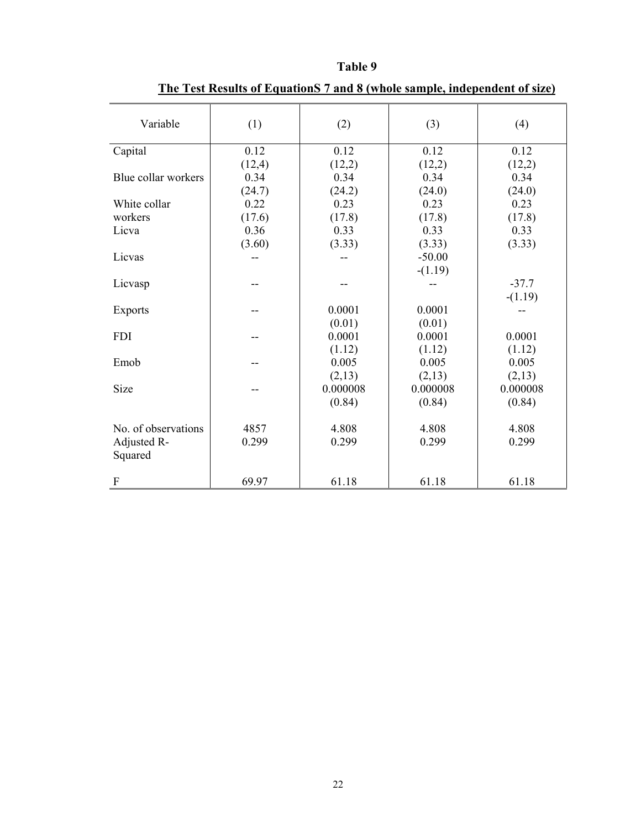| Variable            | (1)    | (2)      | (3)       | (4)       |
|---------------------|--------|----------|-----------|-----------|
| Capital             | 0.12   | 0.12     | 0.12      | 0.12      |
|                     | (12,4) | (12,2)   | (12,2)    | (12,2)    |
| Blue collar workers | 0.34   | 0.34     | 0.34      | 0.34      |
|                     | (24.7) | (24.2)   | (24.0)    | (24.0)    |
| White collar        | 0.22   | 0.23     | 0.23      | 0.23      |
| workers             | (17.6) | (17.8)   | (17.8)    | (17.8)    |
| Licva               | 0.36   | 0.33     | 0.33      | 0.33      |
|                     | (3.60) | (3.33)   | (3.33)    | (3.33)    |
| Licvas              |        |          | $-50.00$  |           |
|                     |        |          | $-(1.19)$ |           |
| Licvasp             |        |          |           | $-37.7$   |
|                     |        |          |           | $-(1.19)$ |
| <b>Exports</b>      |        | 0.0001   | 0.0001    |           |
|                     |        | (0.01)   | (0.01)    |           |
| <b>FDI</b>          |        | 0.0001   | 0.0001    | 0.0001    |
|                     |        | (1.12)   | (1.12)    | (1.12)    |
| Emob                |        | 0.005    | 0.005     | 0.005     |
|                     |        | (2,13)   | (2,13)    | (2,13)    |
| <b>Size</b>         |        | 0.000008 | 0.000008  | 0.000008  |
|                     |        | (0.84)   | (0.84)    | (0.84)    |
|                     |        |          |           |           |
| No. of observations | 4857   | 4.808    | 4.808     | 4.808     |
| Adjusted R-         | 0.299  | 0.299    | 0.299     | 0.299     |
| Squared             |        |          |           |           |
|                     |        |          |           |           |
| $\mathbf{F}$        | 69.97  | 61.18    | 61.18     | 61.18     |

**The Test Results of EquationS 7 and 8 (whole sample, independent of size)**

**Table 9**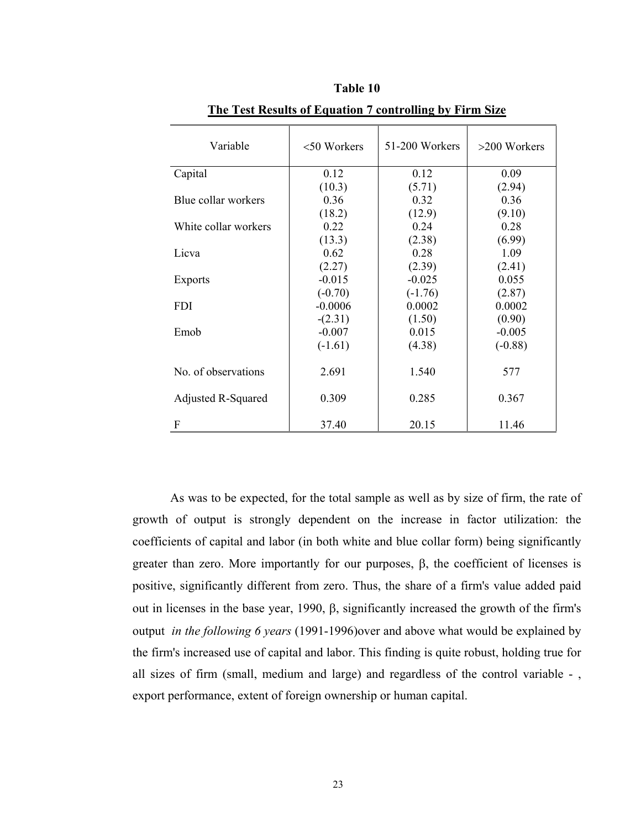| Variable             | <50 Workers | 51-200 Workers | >200 Workers |
|----------------------|-------------|----------------|--------------|
| Capital              | 0.12        | 0.12           | 0.09         |
|                      | (10.3)      | (5.71)         | (2.94)       |
| Blue collar workers  | 0.36        | 0.32           | 0.36         |
|                      | (18.2)      | (12.9)         | (9.10)       |
| White collar workers | 0.22        | 0.24           | 0.28         |
|                      | (13.3)      | (2.38)         | (6.99)       |
| Licva                | 0.62        | 0.28           | 1.09         |
|                      | (2.27)      | (2.39)         | (2.41)       |
| <b>Exports</b>       | $-0.015$    | $-0.025$       | 0.055        |
|                      | $(-0.70)$   | $(-1.76)$      | (2.87)       |
| <b>FDI</b>           | $-0.0006$   | 0.0002         | 0.0002       |
|                      | $-(2.31)$   | (1.50)         | (0.90)       |
| Emob                 | $-0.007$    | 0.015          | $-0.005$     |
|                      | $(-1.61)$   | (4.38)         | $(-0.88)$    |
| No. of observations  | 2.691       | 1.540          | 577          |
| Adjusted R-Squared   | 0.309       | 0.285          | 0.367        |
| F                    | 37.40       | 20.15          | 11.46        |

**Table 10** 

**The Test Results of Equation 7 controlling by Firm Size**

As was to be expected, for the total sample as well as by size of firm, the rate of growth of output is strongly dependent on the increase in factor utilization: the coefficients of capital and labor (in both white and blue collar form) being significantly greater than zero. More importantly for our purposes, β, the coefficient of licenses is positive, significantly different from zero. Thus, the share of a firm's value added paid out in licenses in the base year, 1990, β, significantly increased the growth of the firm's output *in the following 6 years* (1991-1996)over and above what would be explained by the firm's increased use of capital and labor. This finding is quite robust, holding true for all sizes of firm (small, medium and large) and regardless of the control variable - , export performance, extent of foreign ownership or human capital.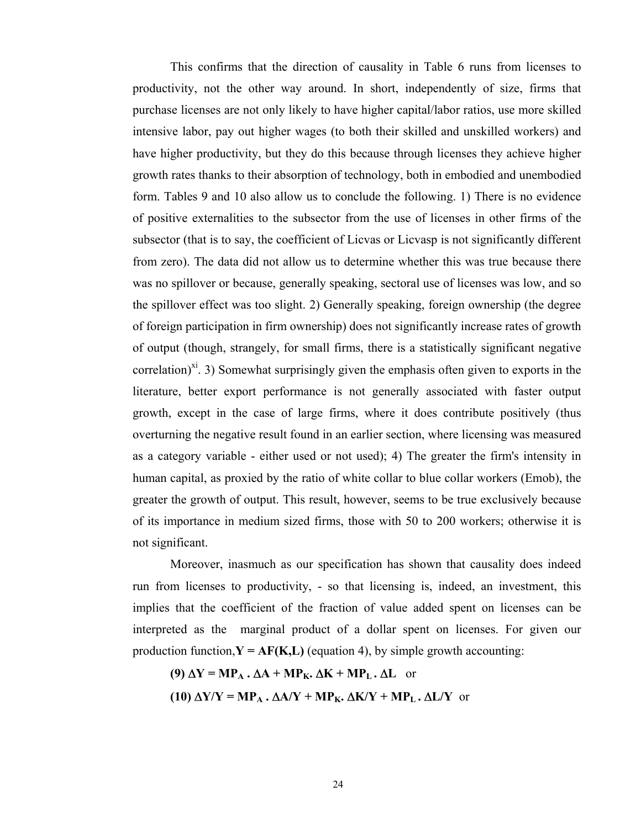This confirms that the direction of causality in Table 6 runs from licenses to productivity, not the other way around. In short, independently of size, firms that purchase licenses are not only likely to have higher capital/labor ratios, use more skilled intensive labor, pay out higher wages (to both their skilled and unskilled workers) and have higher productivity, but they do this because through licenses they achieve higher growth rates thanks to their absorption of technology, both in embodied and unembodied form. Tables 9 and 10 also allow us to conclude the following. 1) There is no evidence of positive externalities to the subsector from the use of licenses in other firms of the subsector (that is to say, the coefficient of Licvas or Licvasp is not significantly different from zero). The data did not allow us to determine whether this was true because there was no spillover or because, generally speaking, sectoral use of licenses was low, and so the spillover effect was too slight. 2) Generally speaking, foreign ownership (the degree of foreign participation in firm ownership) does not significantly increase rates of growth of output (though, strangely, for small firms, there is a statistically significant negative correlation)<sup>xi</sup>. 3) Somewhat surprisingly given the emphasis often given to exports in the literature, better export performance is not generally associated with faster output growth, except in the case of large firms, where it does contribute positively (thus overturning the negative result found in an earlier section, where licensing was measured as a category variable - either used or not used); 4) The greater the firm's intensity in human capital, as proxied by the ratio of white collar to blue collar workers (Emob), the greater the growth of output. This result, however, seems to be true exclusively because of its importance in medium sized firms, those with 50 to 200 workers; otherwise it is not significant.

Moreover, inasmuch as our specification has shown that causality does indeed run from licenses to productivity, - so that licensing is, indeed, an investment, this implies that the coefficient of the fraction of value added spent on licenses can be interpreted as the marginal product of a dollar spent on licenses. For given our production function, $Y = AF(K, L)$  (equation 4), by simple growth accounting:

 $(9)$   $\Delta$ **Y** = **MP<sub>A</sub>** .  $\Delta$ **A** + **MP<sub>K</sub>**.  $\Delta$ **K** + **MP<sub>L</sub>** .  $\Delta$ **L** or

 $(10) \Delta Y/Y = MP_A \cdot \Delta A/Y + MP_K \cdot \Delta K/Y + MP_L \cdot \Delta L/Y$  or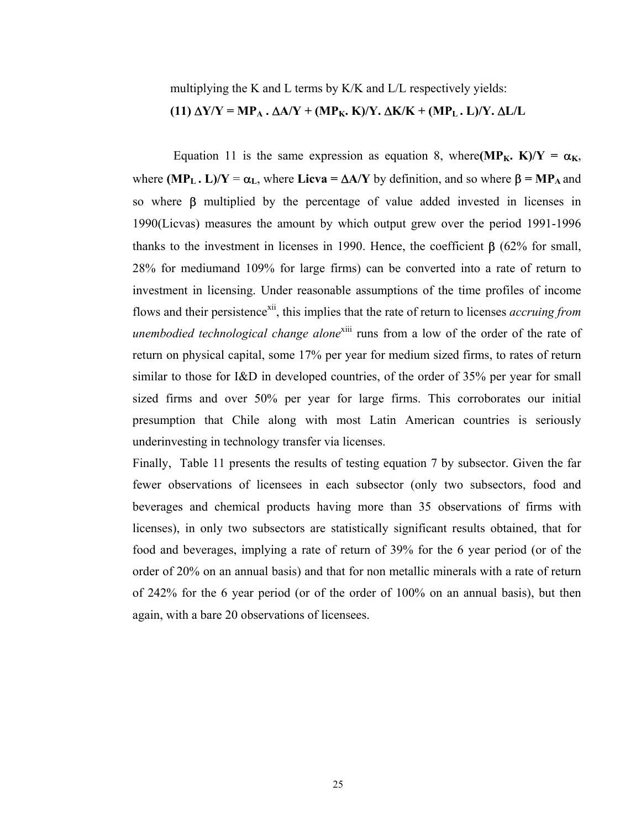multiplying the K and L terms by K/K and L/L respectively yields:

 $(11) \Delta Y/Y = MP_A \cdot \Delta A/Y + (MP_K \cdot K)/Y \cdot \Delta K/K + (MP_L \cdot L)/Y \cdot \Delta L/L$ 

Equation 11 is the same expression as equation 8, where  $(MP_K, K)/Y = \alpha_K$ , where  $(MP_L, L)/Y = \alpha_L$ , where Licva =  $\Delta A/Y$  by definition, and so where  $\beta = MP_A$  and so where β multiplied by the percentage of value added invested in licenses in 1990(Licvas) measures the amount by which output grew over the period 1991-1996 thanks to the investment in licenses in 1990. Hence, the coefficient  $\beta$  (62% for small, 28% for mediumand 109% for large firms) can be converted into a rate of return to investment in licensing. Under reasonable assumptions of the time profiles of income flows and their persistence<sup>xii</sup>, this implies that the rate of return to licenses *accruing from unembodied technological change alone<sup>xiii</sup>* runs from a low of the order of the rate of return on physical capital, some 17% per year for medium sized firms, to rates of return similar to those for I&D in developed countries, of the order of 35% per year for small sized firms and over 50% per year for large firms. This corroborates our initial presumption that Chile along with most Latin American countries is seriously underinvesting in technology transfer via licenses.

Finally, Table 11 presents the results of testing equation 7 by subsector. Given the far fewer observations of licensees in each subsector (only two subsectors, food and beverages and chemical products having more than 35 observations of firms with licenses), in only two subsectors are statistically significant results obtained, that for food and beverages, implying a rate of return of 39% for the 6 year period (or of the order of 20% on an annual basis) and that for non metallic minerals with a rate of return of 242% for the 6 year period (or of the order of 100% on an annual basis), but then again, with a bare 20 observations of licensees.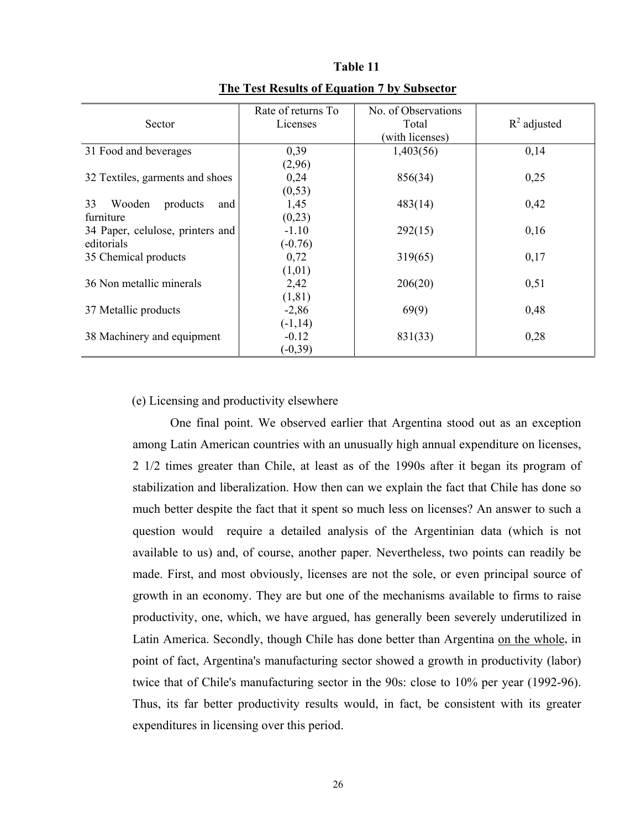|                                  | Rate of returns To | No. of Observations |                |
|----------------------------------|--------------------|---------------------|----------------|
| Sector                           | Licenses           | Total               | $R^2$ adjusted |
|                                  |                    | (with licenses)     |                |
| 31 Food and beverages            | 0,39               | 1,403(56)           | 0,14           |
|                                  | (2,96)             |                     |                |
| 32 Textiles, garments and shoes  | 0,24               | 856(34)             | 0,25           |
|                                  | (0,53)             |                     |                |
| Wooden<br>products<br>33<br>and  | 1,45               | 483(14)             | 0,42           |
| furniture                        | (0,23)             |                     |                |
| 34 Paper, celulose, printers and | $-1.10$            | 292(15)             | 0,16           |
| editorials                       | $(-0.76)$          |                     |                |
| 35 Chemical products             | 0,72               | 319(65)             | 0,17           |
|                                  | (1,01)             |                     |                |
| 36 Non metallic minerals         | 2,42               | 206(20)             | 0,51           |
|                                  | (1, 81)            |                     |                |
| 37 Metallic products             | $-2,86$            | 69(9)               | 0,48           |
|                                  | $(-1, 14)$         |                     |                |
| 38 Machinery and equipment       | $-0.12$            | 831(33)             | 0,28           |
|                                  | $(-0,39)$          |                     |                |

# **Table 11 The Test Results of Equation 7 by Subsector**

## (e) Licensing and productivity elsewhere

One final point. We observed earlier that Argentina stood out as an exception among Latin American countries with an unusually high annual expenditure on licenses, 2 1/2 times greater than Chile, at least as of the 1990s after it began its program of stabilization and liberalization. How then can we explain the fact that Chile has done so much better despite the fact that it spent so much less on licenses? An answer to such a question would require a detailed analysis of the Argentinian data (which is not available to us) and, of course, another paper. Nevertheless, two points can readily be made. First, and most obviously, licenses are not the sole, or even principal source of growth in an economy. They are but one of the mechanisms available to firms to raise productivity, one, which, we have argued, has generally been severely underutilized in Latin America. Secondly, though Chile has done better than Argentina on the whole, in point of fact, Argentina's manufacturing sector showed a growth in productivity (labor) twice that of Chile's manufacturing sector in the 90s: close to 10% per year (1992-96). Thus, its far better productivity results would, in fact, be consistent with its greater expenditures in licensing over this period.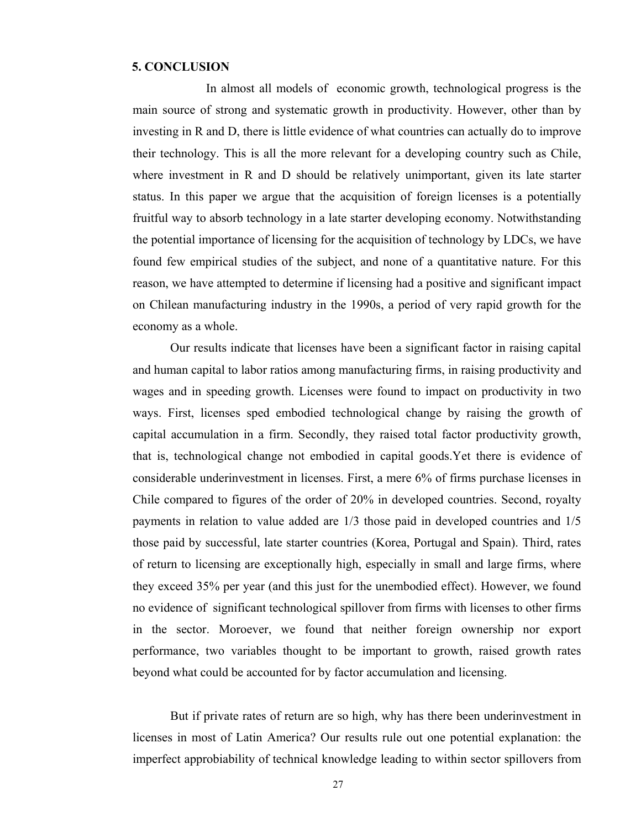#### **5. CONCLUSION**

In almost all models of economic growth, technological progress is the main source of strong and systematic growth in productivity. However, other than by investing in R and D, there is little evidence of what countries can actually do to improve their technology. This is all the more relevant for a developing country such as Chile, where investment in R and D should be relatively unimportant, given its late starter status. In this paper we argue that the acquisition of foreign licenses is a potentially fruitful way to absorb technology in a late starter developing economy. Notwithstanding the potential importance of licensing for the acquisition of technology by LDCs, we have found few empirical studies of the subject, and none of a quantitative nature. For this reason, we have attempted to determine if licensing had a positive and significant impact on Chilean manufacturing industry in the 1990s, a period of very rapid growth for the economy as a whole.

Our results indicate that licenses have been a significant factor in raising capital and human capital to labor ratios among manufacturing firms, in raising productivity and wages and in speeding growth. Licenses were found to impact on productivity in two ways. First, licenses sped embodied technological change by raising the growth of capital accumulation in a firm. Secondly, they raised total factor productivity growth, that is, technological change not embodied in capital goods.Yet there is evidence of considerable underinvestment in licenses. First, a mere 6% of firms purchase licenses in Chile compared to figures of the order of 20% in developed countries. Second, royalty payments in relation to value added are 1/3 those paid in developed countries and 1/5 those paid by successful, late starter countries (Korea, Portugal and Spain). Third, rates of return to licensing are exceptionally high, especially in small and large firms, where they exceed 35% per year (and this just for the unembodied effect). However, we found no evidence of significant technological spillover from firms with licenses to other firms in the sector. Moroever, we found that neither foreign ownership nor export performance, two variables thought to be important to growth, raised growth rates beyond what could be accounted for by factor accumulation and licensing.

But if private rates of return are so high, why has there been underinvestment in licenses in most of Latin America? Our results rule out one potential explanation: the imperfect approbiability of technical knowledge leading to within sector spillovers from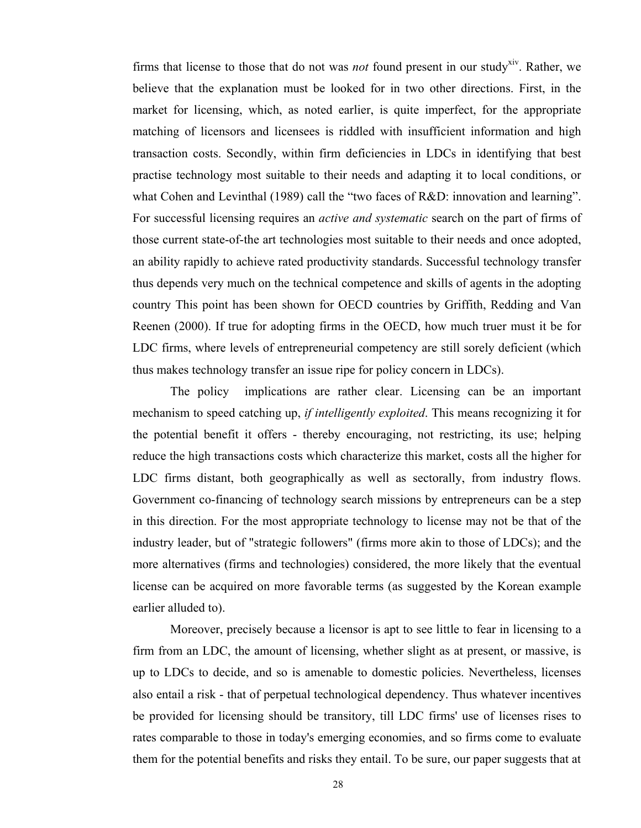firms that license to those that do not was *not* found present in our study<sup>xiv</sup>. Rather, we believe that the explanation must be looked for in two other directions. First, in the market for licensing, which, as noted earlier, is quite imperfect, for the appropriate matching of licensors and licensees is riddled with insufficient information and high transaction costs. Secondly, within firm deficiencies in LDCs in identifying that best practise technology most suitable to their needs and adapting it to local conditions, or what Cohen and Levinthal (1989) call the "two faces of R&D: innovation and learning". For successful licensing requires an *active and systematic* search on the part of firms of those current state-of-the art technologies most suitable to their needs and once adopted, an ability rapidly to achieve rated productivity standards. Successful technology transfer thus depends very much on the technical competence and skills of agents in the adopting country This point has been shown for OECD countries by Griffith, Redding and Van Reenen (2000). If true for adopting firms in the OECD, how much truer must it be for LDC firms, where levels of entrepreneurial competency are still sorely deficient (which thus makes technology transfer an issue ripe for policy concern in LDCs).

The policy implications are rather clear. Licensing can be an important mechanism to speed catching up, *if intelligently exploited*. This means recognizing it for the potential benefit it offers - thereby encouraging, not restricting, its use; helping reduce the high transactions costs which characterize this market, costs all the higher for LDC firms distant, both geographically as well as sectorally, from industry flows. Government co-financing of technology search missions by entrepreneurs can be a step in this direction. For the most appropriate technology to license may not be that of the industry leader, but of "strategic followers" (firms more akin to those of LDCs); and the more alternatives (firms and technologies) considered, the more likely that the eventual license can be acquired on more favorable terms (as suggested by the Korean example earlier alluded to).

Moreover, precisely because a licensor is apt to see little to fear in licensing to a firm from an LDC, the amount of licensing, whether slight as at present, or massive, is up to LDCs to decide, and so is amenable to domestic policies. Nevertheless, licenses also entail a risk - that of perpetual technological dependency. Thus whatever incentives be provided for licensing should be transitory, till LDC firms' use of licenses rises to rates comparable to those in today's emerging economies, and so firms come to evaluate them for the potential benefits and risks they entail. To be sure, our paper suggests that at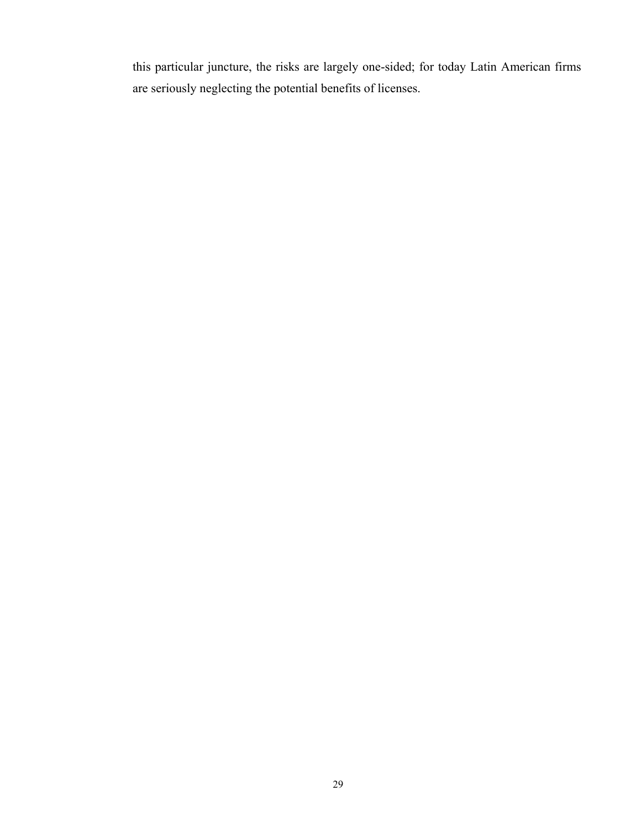this particular juncture, the risks are largely one-sided; for today Latin American firms are seriously neglecting the potential benefits of licenses.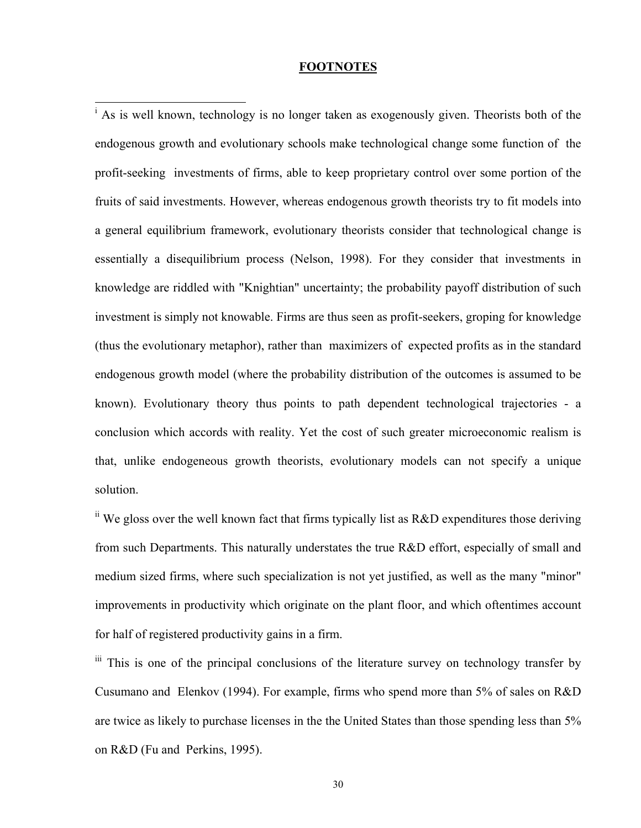#### **FOOTNOTES**

 i <sup>i</sup> As is well known, technology is no longer taken as exogenously given. Theorists both of the endogenous growth and evolutionary schools make technological change some function of the profit-seeking investments of firms, able to keep proprietary control over some portion of the fruits of said investments. However, whereas endogenous growth theorists try to fit models into a general equilibrium framework, evolutionary theorists consider that technological change is essentially a disequilibrium process (Nelson, 1998). For they consider that investments in knowledge are riddled with "Knightian" uncertainty; the probability payoff distribution of such investment is simply not knowable. Firms are thus seen as profit-seekers, groping for knowledge (thus the evolutionary metaphor), rather than maximizers of expected profits as in the standard endogenous growth model (where the probability distribution of the outcomes is assumed to be known). Evolutionary theory thus points to path dependent technological trajectories - a conclusion which accords with reality. Yet the cost of such greater microeconomic realism is that, unlike endogeneous growth theorists, evolutionary models can not specify a unique solution.

 $\ddot{\text{h}}$  We gloss over the well known fact that firms typically list as R&D expenditures those deriving from such Departments. This naturally understates the true R&D effort, especially of small and medium sized firms, where such specialization is not yet justified, as well as the many "minor" improvements in productivity which originate on the plant floor, and which oftentimes account for half of registered productivity gains in a firm.

<sup>iii</sup> This is one of the principal conclusions of the literature survey on technology transfer by Cusumano and Elenkov (1994). For example, firms who spend more than 5% of sales on R&D are twice as likely to purchase licenses in the the United States than those spending less than 5% on R&D (Fu and Perkins, 1995).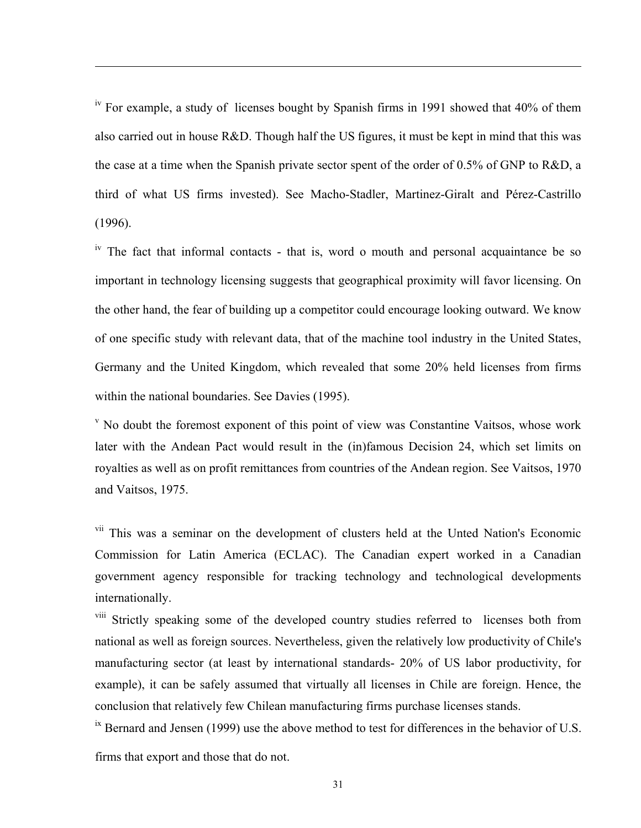<sup>iv</sup> For example, a study of licenses bought by Spanish firms in 1991 showed that 40% of them also carried out in house R&D. Though half the US figures, it must be kept in mind that this was the case at a time when the Spanish private sector spent of the order of 0.5% of GNP to R&D, a third of what US firms invested). See Macho-Stadler, Martinez-Giralt and Pérez-Castrillo (1996).

1

<sup>iv</sup> The fact that informal contacts - that is, word o mouth and personal acquaintance be so important in technology licensing suggests that geographical proximity will favor licensing. On the other hand, the fear of building up a competitor could encourage looking outward. We know of one specific study with relevant data, that of the machine tool industry in the United States, Germany and the United Kingdom, which revealed that some 20% held licenses from firms within the national boundaries. See Davies (1995).

v No doubt the foremost exponent of this point of view was Constantine Vaitsos, whose work later with the Andean Pact would result in the (in)famous Decision 24, which set limits on royalties as well as on profit remittances from countries of the Andean region. See Vaitsos, 1970 and Vaitsos, 1975.

vii This was a seminar on the development of clusters held at the Unted Nation's Economic Commission for Latin America (ECLAC). The Canadian expert worked in a Canadian government agency responsible for tracking technology and technological developments internationally.

<sup>viii</sup> Strictly speaking some of the developed country studies referred to licenses both from national as well as foreign sources. Nevertheless, given the relatively low productivity of Chile's manufacturing sector (at least by international standards- 20% of US labor productivity, for example), it can be safely assumed that virtually all licenses in Chile are foreign. Hence, the conclusion that relatively few Chilean manufacturing firms purchase licenses stands.

 $\frac{1}{10}$  Bernard and Jensen (1999) use the above method to test for differences in the behavior of U.S. firms that export and those that do not.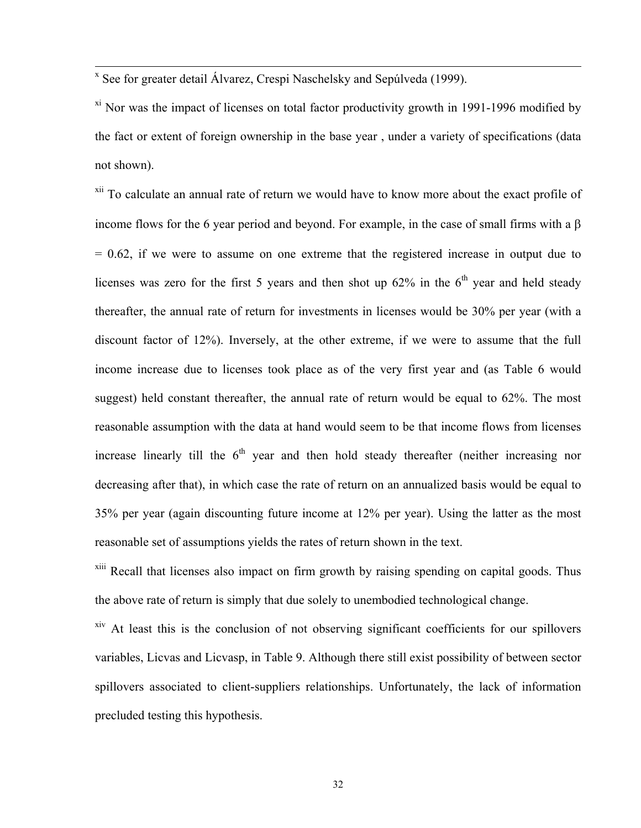x See for greater detail Álvarez, Crespi Naschelsky and Sepúlveda (1999).

 $\frac{x_i}{x_i}$  Nor was the impact of licenses on total factor productivity growth in 1991-1996 modified by the fact or extent of foreign ownership in the base year , under a variety of specifications (data not shown).

<sup>xii</sup> To calculate an annual rate of return we would have to know more about the exact profile of income flows for the 6 year period and beyond. For example, in the case of small firms with a β  $= 0.62$ , if we were to assume on one extreme that the registered increase in output due to licenses was zero for the first 5 years and then shot up  $62\%$  in the 6<sup>th</sup> year and held steady thereafter, the annual rate of return for investments in licenses would be 30% per year (with a discount factor of 12%). Inversely, at the other extreme, if we were to assume that the full income increase due to licenses took place as of the very first year and (as Table 6 would suggest) held constant thereafter, the annual rate of return would be equal to 62%. The most reasonable assumption with the data at hand would seem to be that income flows from licenses increase linearly till the  $6<sup>th</sup>$  year and then hold steady thereafter (neither increasing nor decreasing after that), in which case the rate of return on an annualized basis would be equal to 35% per year (again discounting future income at 12% per year). Using the latter as the most reasonable set of assumptions yields the rates of return shown in the text.

<sup>xiii</sup> Recall that licenses also impact on firm growth by raising spending on capital goods. Thus the above rate of return is simply that due solely to unembodied technological change.

<sup>xiv</sup> At least this is the conclusion of not observing significant coefficients for our spillovers variables, Licvas and Licvasp, in Table 9. Although there still exist possibility of between sector spillovers associated to client-suppliers relationships. Unfortunately, the lack of information precluded testing this hypothesis.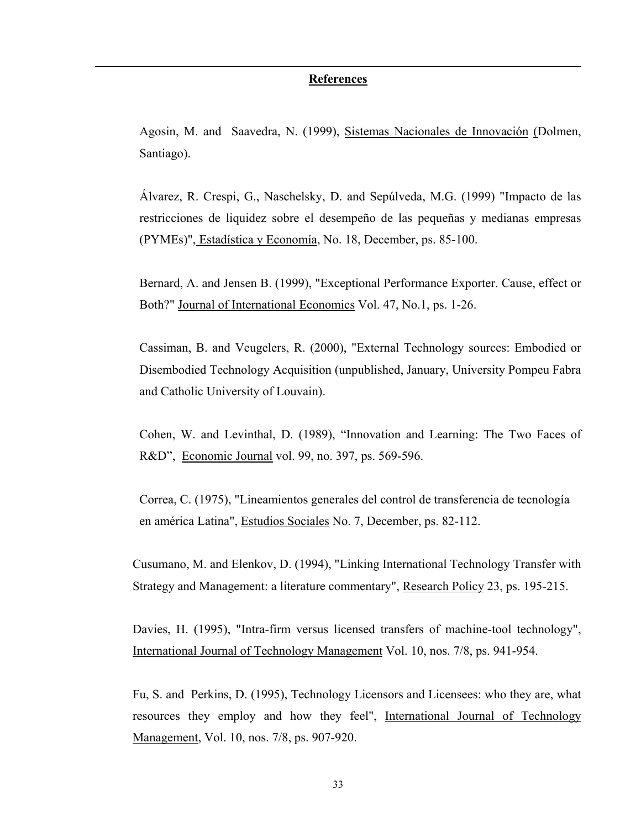#### **References**

1

Agosin, M. and Saavedra, N. (1999), Sistemas Nacionales de Innovación (Dolmen, Santiago).

Álvarez, R. Crespi, G., Naschelsky, D. and Sepúlveda, M.G. (1999) "Impacto de las restricciones de liquidez sobre el desempeño de las pequeñas y medianas empresas (PYMEs)", Estadística y Economía, No. 18, December, ps. 85-100.

Bernard, A. and Jensen B. (1999), "Exceptional Performance Exporter. Cause, effect or Both?" Journal of International Economics Vol. 47, No.1, ps. 1-26.

Cassiman, B. and Veugelers, R. (2000), "External Technology sources: Embodied or Disembodied Technology Acquisition (unpublished, January, University Pompeu Fabra and Catholic University of Louvain).

Cohen, W. and Levinthal, D. (1989), "Innovation and Learning: The Two Faces of R&D", Economic Journal vol. 99, no. 397, ps. 569-596.

Correa, C. (1975), "Lineamientos generales del control de transferencia de tecnología en américa Latina", Estudios Sociales No. 7, December, ps. 82-112.

Cusumano, M. and Elenkov, D. (1994), "Linking International Technology Transfer with Strategy and Management: a literature commentary", Research Policy 23, ps. 195-215.

Davies, H. (1995), "Intra-firm versus licensed transfers of machine-tool technology", International Journal of Technology Management Vol. 10, nos. 7/8, ps. 941-954.

Fu, S. and Perkins, D. (1995), Technology Licensors and Licensees: who they are, what resources they employ and how they feel", International Journal of Technology Management, Vol. 10, nos. 7/8, ps. 907-920.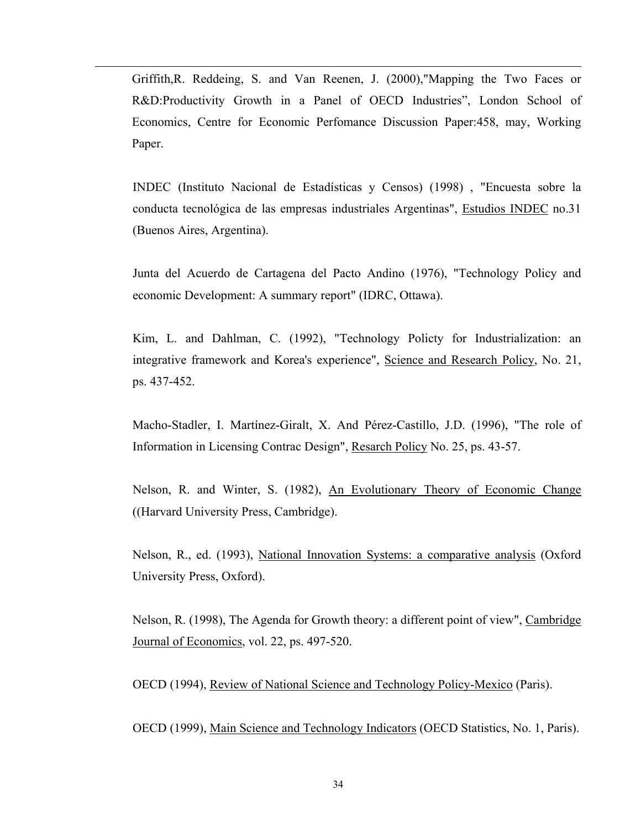Griffith,R. Reddeing, S. and Van Reenen, J. (2000),"Mapping the Two Faces or R&D:Productivity Growth in a Panel of OECD Industries", London School of Economics, Centre for Economic Perfomance Discussion Paper:458, may, Working Paper.

1

INDEC (Instituto Nacional de Estadísticas y Censos) (1998) , "Encuesta sobre la conducta tecnológica de las empresas industriales Argentinas", Estudios INDEC no.31 (Buenos Aires, Argentina).

Junta del Acuerdo de Cartagena del Pacto Andino (1976), "Technology Policy and economic Development: A summary report" (IDRC, Ottawa).

Kim, L. and Dahlman, C. (1992), "Technology Policty for Industrialization: an integrative framework and Korea's experience", Science and Research Policy, No. 21, ps. 437-452.

Macho-Stadler, I. Martínez-Giralt, X. And Pérez-Castillo, J.D. (1996), "The role of Information in Licensing Contrac Design", Resarch Policy No. 25, ps. 43-57.

Nelson, R. and Winter, S. (1982), An Evolutionary Theory of Economic Change ((Harvard University Press, Cambridge).

Nelson, R., ed. (1993), National Innovation Systems: a comparative analysis (Oxford University Press, Oxford).

Nelson, R. (1998), The Agenda for Growth theory: a different point of view", Cambridge Journal of Economics, vol. 22, ps. 497-520.

OECD (1994), Review of National Science and Technology Policy-Mexico (Paris).

OECD (1999), Main Science and Technology Indicators (OECD Statistics, No. 1, Paris).